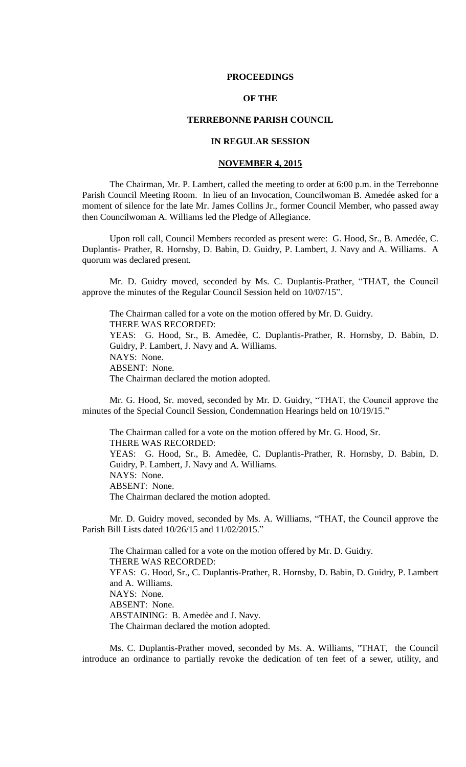### **PROCEEDINGS**

# **OF THE**

## **TERREBONNE PARISH COUNCIL**

# **IN REGULAR SESSION**

# **NOVEMBER 4, 2015**

The Chairman, Mr. P. Lambert, called the meeting to order at 6:00 p.m. in the Terrebonne Parish Council Meeting Room. In lieu of an Invocation, Councilwoman B. Amedée asked for a moment of silence for the late Mr. James Collins Jr., former Council Member, who passed away then Councilwoman A. Williams led the Pledge of Allegiance.

Upon roll call, Council Members recorded as present were: G. Hood, Sr., B. Amedée, C. Duplantis- Prather, R. Hornsby, D. Babin, D. Guidry, P. Lambert, J. Navy and A. Williams. A quorum was declared present.

Mr. D. Guidry moved, seconded by Ms. C. Duplantis-Prather, "THAT, the Council approve the minutes of the Regular Council Session held on 10/07/15".

The Chairman called for a vote on the motion offered by Mr. D. Guidry. THERE WAS RECORDED: YEAS: G. Hood, Sr., B. Amedèe, C. Duplantis-Prather, R. Hornsby, D. Babin, D. Guidry, P. Lambert, J. Navy and A. Williams. NAYS: None. ABSENT: None. The Chairman declared the motion adopted.

Mr. G. Hood, Sr. moved, seconded by Mr. D. Guidry, "THAT, the Council approve the minutes of the Special Council Session, Condemnation Hearings held on 10/19/15."

The Chairman called for a vote on the motion offered by Mr. G. Hood, Sr. THERE WAS RECORDED: YEAS: G. Hood, Sr., B. Amedèe, C. Duplantis-Prather, R. Hornsby, D. Babin, D. Guidry, P. Lambert, J. Navy and A. Williams. NAYS: None. ABSENT: None. The Chairman declared the motion adopted.

Mr. D. Guidry moved, seconded by Ms. A. Williams, "THAT, the Council approve the Parish Bill Lists dated 10/26/15 and 11/02/2015."

The Chairman called for a vote on the motion offered by Mr. D. Guidry. THERE WAS RECORDED: YEAS: G. Hood, Sr., C. Duplantis-Prather, R. Hornsby, D. Babin, D. Guidry, P. Lambert and A. Williams. NAYS: None. ABSENT: None. ABSTAINING: B. Amedèe and J. Navy. The Chairman declared the motion adopted.

Ms. C. Duplantis-Prather moved, seconded by Ms. A. Williams, "THAT, the Council introduce an ordinance to partially revoke the dedication of ten feet of a sewer, utility, and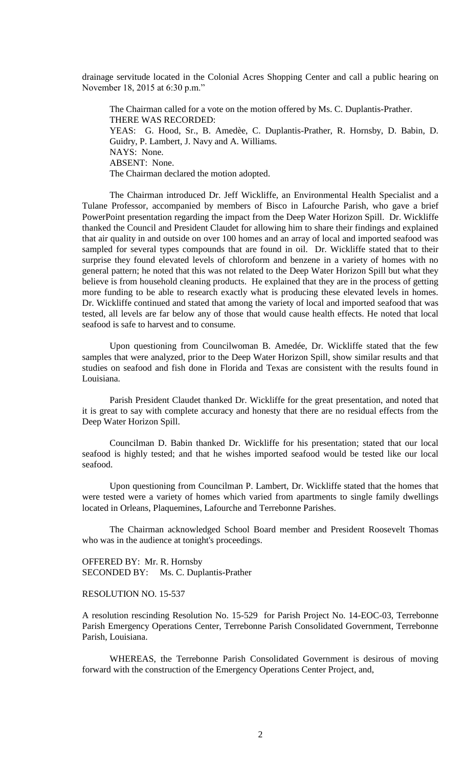drainage servitude located in the Colonial Acres Shopping Center and call a public hearing on November 18, 2015 at 6:30 p.m."

The Chairman called for a vote on the motion offered by Ms. C. Duplantis-Prather. THERE WAS RECORDED: YEAS: G. Hood, Sr., B. Amedèe, C. Duplantis-Prather, R. Hornsby, D. Babin, D. Guidry, P. Lambert, J. Navy and A. Williams. NAYS: None. ABSENT: None. The Chairman declared the motion adopted.

The Chairman introduced Dr. Jeff Wickliffe, an Environmental Health Specialist and a Tulane Professor, accompanied by members of Bisco in Lafourche Parish, who gave a brief PowerPoint presentation regarding the impact from the Deep Water Horizon Spill. Dr. Wickliffe thanked the Council and President Claudet for allowing him to share their findings and explained that air quality in and outside on over 100 homes and an array of local and imported seafood was sampled for several types compounds that are found in oil. Dr. Wickliffe stated that to their surprise they found elevated levels of chloroform and benzene in a variety of homes with no general pattern; he noted that this was not related to the Deep Water Horizon Spill but what they believe is from household cleaning products. He explained that they are in the process of getting more funding to be able to research exactly what is producing these elevated levels in homes. Dr. Wickliffe continued and stated that among the variety of local and imported seafood that was tested, all levels are far below any of those that would cause health effects. He noted that local seafood is safe to harvest and to consume.

Upon questioning from Councilwoman B. Amedée, Dr. Wickliffe stated that the few samples that were analyzed, prior to the Deep Water Horizon Spill, show similar results and that studies on seafood and fish done in Florida and Texas are consistent with the results found in Louisiana.

Parish President Claudet thanked Dr. Wickliffe for the great presentation, and noted that it is great to say with complete accuracy and honesty that there are no residual effects from the Deep Water Horizon Spill.

Councilman D. Babin thanked Dr. Wickliffe for his presentation; stated that our local seafood is highly tested; and that he wishes imported seafood would be tested like our local seafood.

Upon questioning from Councilman P. Lambert, Dr. Wickliffe stated that the homes that were tested were a variety of homes which varied from apartments to single family dwellings located in Orleans, Plaquemines, Lafourche and Terrebonne Parishes.

The Chairman acknowledged School Board member and President Roosevelt Thomas who was in the audience at tonight's proceedings.

OFFERED BY: Mr. R. Hornsby SECONDED BY: Ms. C. Duplantis-Prather

# RESOLUTION NO. 15-537

A resolution rescinding Resolution No. 15-529 for Parish Project No. 14-EOC-03, Terrebonne Parish Emergency Operations Center, Terrebonne Parish Consolidated Government, Terrebonne Parish, Louisiana.

WHEREAS, the Terrebonne Parish Consolidated Government is desirous of moving forward with the construction of the Emergency Operations Center Project, and,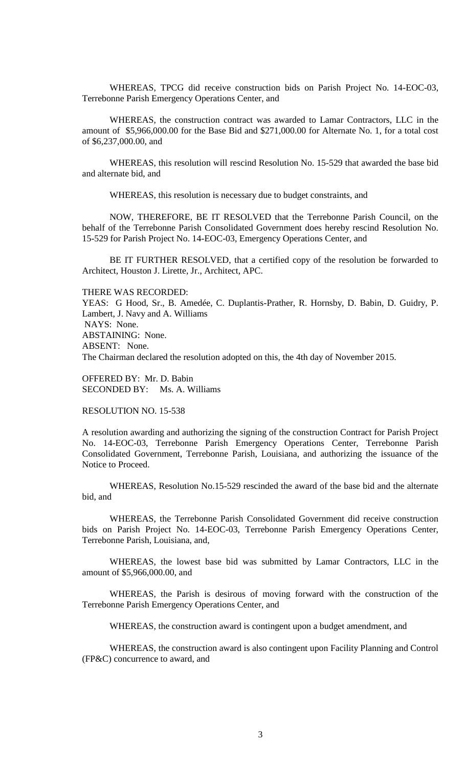WHEREAS, TPCG did receive construction bids on Parish Project No. 14-EOC-03, Terrebonne Parish Emergency Operations Center, and

WHEREAS, the construction contract was awarded to Lamar Contractors, LLC in the amount of \$5,966,000.00 for the Base Bid and \$271,000.00 for Alternate No. 1, for a total cost of \$6,237,000.00, and

WHEREAS, this resolution will rescind Resolution No. 15-529 that awarded the base bid and alternate bid, and

WHEREAS, this resolution is necessary due to budget constraints, and

NOW, THEREFORE, BE IT RESOLVED that the Terrebonne Parish Council, on the behalf of the Terrebonne Parish Consolidated Government does hereby rescind Resolution No. 15-529 for Parish Project No. 14-EOC-03, Emergency Operations Center, and

BE IT FURTHER RESOLVED, that a certified copy of the resolution be forwarded to Architect, Houston J. Lirette, Jr., Architect, APC.

THERE WAS RECORDED: YEAS: G Hood, Sr., B. Amedée, C. Duplantis-Prather, R. Hornsby, D. Babin, D. Guidry, P. Lambert, J. Navy and A. Williams NAYS: None. ABSTAINING: None. ABSENT: None. The Chairman declared the resolution adopted on this, the 4th day of November 2015.

OFFERED BY: Mr. D. Babin SECONDED BY: Ms. A. Williams

RESOLUTION NO. 15-538

A resolution awarding and authorizing the signing of the construction Contract for Parish Project No. 14-EOC-03, Terrebonne Parish Emergency Operations Center, Terrebonne Parish Consolidated Government, Terrebonne Parish, Louisiana, and authorizing the issuance of the Notice to Proceed.

WHEREAS, Resolution No.15-529 rescinded the award of the base bid and the alternate bid, and

WHEREAS, the Terrebonne Parish Consolidated Government did receive construction bids on Parish Project No. 14-EOC-03, Terrebonne Parish Emergency Operations Center, Terrebonne Parish, Louisiana, and,

WHEREAS, the lowest base bid was submitted by Lamar Contractors, LLC in the amount of \$5,966,000.00, and

WHEREAS, the Parish is desirous of moving forward with the construction of the Terrebonne Parish Emergency Operations Center, and

WHEREAS, the construction award is contingent upon a budget amendment, and

WHEREAS, the construction award is also contingent upon Facility Planning and Control (FP&C) concurrence to award, and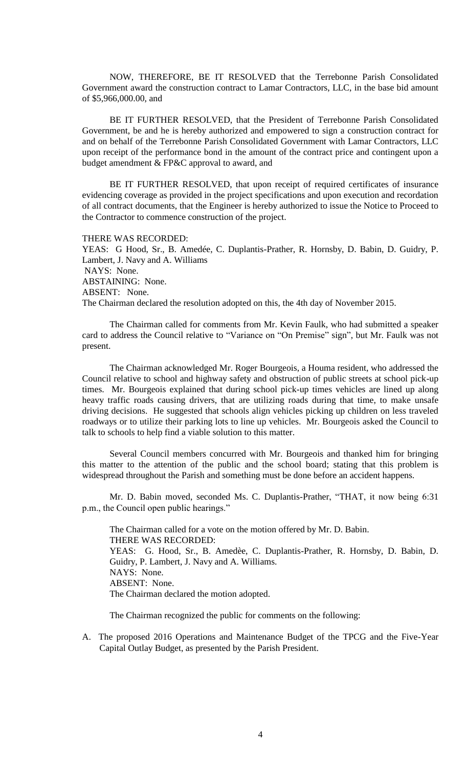NOW, THEREFORE, BE IT RESOLVED that the Terrebonne Parish Consolidated Government award the construction contract to Lamar Contractors, LLC, in the base bid amount of \$5,966,000.00, and

BE IT FURTHER RESOLVED, that the President of Terrebonne Parish Consolidated Government, be and he is hereby authorized and empowered to sign a construction contract for and on behalf of the Terrebonne Parish Consolidated Government with Lamar Contractors, LLC upon receipt of the performance bond in the amount of the contract price and contingent upon a budget amendment & FP&C approval to award, and

BE IT FURTHER RESOLVED, that upon receipt of required certificates of insurance evidencing coverage as provided in the project specifications and upon execution and recordation of all contract documents, that the Engineer is hereby authorized to issue the Notice to Proceed to the Contractor to commence construction of the project.

THERE WAS RECORDED:

YEAS: G Hood, Sr., B. Amedée, C. Duplantis-Prather, R. Hornsby, D. Babin, D. Guidry, P. Lambert, J. Navy and A. Williams NAYS: None. ABSTAINING: None. ABSENT: None. The Chairman declared the resolution adopted on this, the 4th day of November 2015.

The Chairman called for comments from Mr. Kevin Faulk, who had submitted a speaker card to address the Council relative to "Variance on "On Premise" sign", but Mr. Faulk was not present.

The Chairman acknowledged Mr. Roger Bourgeois, a Houma resident, who addressed the Council relative to school and highway safety and obstruction of public streets at school pick-up times. Mr. Bourgeois explained that during school pick-up times vehicles are lined up along heavy traffic roads causing drivers, that are utilizing roads during that time, to make unsafe driving decisions. He suggested that schools align vehicles picking up children on less traveled roadways or to utilize their parking lots to line up vehicles. Mr. Bourgeois asked the Council to talk to schools to help find a viable solution to this matter.

Several Council members concurred with Mr. Bourgeois and thanked him for bringing this matter to the attention of the public and the school board; stating that this problem is widespread throughout the Parish and something must be done before an accident happens.

Mr. D. Babin moved, seconded Ms. C. Duplantis-Prather, "THAT, it now being 6:31 p.m., the Council open public hearings."

The Chairman called for a vote on the motion offered by Mr. D. Babin. THERE WAS RECORDED: YEAS: G. Hood, Sr., B. Amedèe, C. Duplantis-Prather, R. Hornsby, D. Babin, D. Guidry, P. Lambert, J. Navy and A. Williams. NAYS: None. ABSENT: None. The Chairman declared the motion adopted.

The Chairman recognized the public for comments on the following:

A. The proposed 2016 Operations and Maintenance Budget of the TPCG and the Five-Year Capital Outlay Budget, as presented by the Parish President.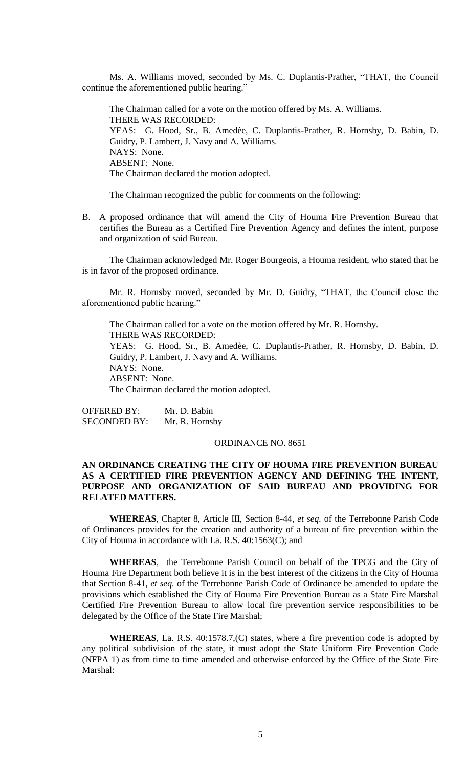Ms. A. Williams moved, seconded by Ms. C. Duplantis-Prather, "THAT, the Council continue the aforementioned public hearing."

The Chairman called for a vote on the motion offered by Ms. A. Williams. THERE WAS RECORDED: YEAS: G. Hood, Sr., B. Amedèe, C. Duplantis-Prather, R. Hornsby, D. Babin, D. Guidry, P. Lambert, J. Navy and A. Williams. NAYS: None. ABSENT: None. The Chairman declared the motion adopted.

The Chairman recognized the public for comments on the following:

B. A proposed ordinance that will amend the City of Houma Fire Prevention Bureau that certifies the Bureau as a Certified Fire Prevention Agency and defines the intent, purpose and organization of said Bureau.

The Chairman acknowledged Mr. Roger Bourgeois, a Houma resident, who stated that he is in favor of the proposed ordinance.

Mr. R. Hornsby moved, seconded by Mr. D. Guidry, "THAT, the Council close the aforementioned public hearing."

The Chairman called for a vote on the motion offered by Mr. R. Hornsby. THERE WAS RECORDED: YEAS: G. Hood, Sr., B. Amedèe, C. Duplantis-Prather, R. Hornsby, D. Babin, D. Guidry, P. Lambert, J. Navy and A. Williams. NAYS: None. ABSENT: None. The Chairman declared the motion adopted.

OFFERED BY: Mr. D. Babin SECONDED BY: Mr. R. Hornsby

### ORDINANCE NO. 8651

# **AN ORDINANCE CREATING THE CITY OF HOUMA FIRE PREVENTION BUREAU AS A CERTIFIED FIRE PREVENTION AGENCY AND DEFINING THE INTENT, PURPOSE AND ORGANIZATION OF SAID BUREAU AND PROVIDING FOR RELATED MATTERS.**

**WHEREAS**, Chapter 8, Article III, Section 8-44, *et seq.* of the Terrebonne Parish Code of Ordinances provides for the creation and authority of a bureau of fire prevention within the City of Houma in accordance with La. R.S. 40:1563(C); and

**WHEREAS**, the Terrebonne Parish Council on behalf of the TPCG and the City of Houma Fire Department both believe it is in the best interest of the citizens in the City of Houma that Section 8-41, *et seq.* of the Terrebonne Parish Code of Ordinance be amended to update the provisions which established the City of Houma Fire Prevention Bureau as a State Fire Marshal Certified Fire Prevention Bureau to allow local fire prevention service responsibilities to be delegated by the Office of the State Fire Marshal;

**WHEREAS**, La. R.S. 40:1578.7,(C) states, where a fire prevention code is adopted by any political subdivision of the state, it must adopt the State Uniform Fire Prevention Code (NFPA 1) as from time to time amended and otherwise enforced by the Office of the State Fire Marshal: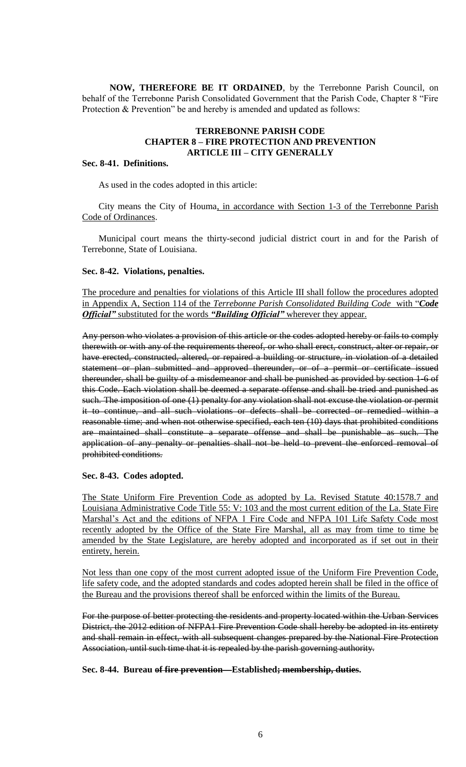**NOW, THEREFORE BE IT ORDAINED**, by the Terrebonne Parish Council, on behalf of the Terrebonne Parish Consolidated Government that the Parish Code, Chapter 8 "Fire Protection & Prevention" be and hereby is amended and updated as follows:

# **TERREBONNE PARISH CODE CHAPTER 8 – FIRE PROTECTION AND PREVENTION ARTICLE III – CITY GENERALLY**

# **Sec. 8-41. Definitions.**

As used in the codes adopted in this article:

City means the City of Houma, in accordance with Section 1-3 of the Terrebonne Parish Code of Ordinances.

Municipal court means the thirty-second judicial district court in and for the Parish of Terrebonne, State of Louisiana.

#### **Sec. 8-42. Violations, penalties.**

The procedure and penalties for violations of this Article III shall follow the procedures adopted in Appendix A, Section 114 of the *Terrebonne Parish Consolidated Building Code* with "*Code Official"* substituted for the words *"Building Official"* wherever they appear.

Any person who violates a provision of this article or the codes adopted hereby or fails to comply therewith or with any of the requirements thereof, or who shall erect, construct, alter or repair, or have erected, constructed, altered, or repaired a building or structure, in violation of a detailed statement or plan submitted and approved thereunder, or of a permit or certificate issued thereunder, shall be guilty of a misdemeanor and shall be punished as provided by section 1-6 of this Code. Each violation shall be deemed a separate offense and shall be tried and punished as such. The imposition of one (1) penalty for any violation shall not excuse the violation or permit it to continue, and all such violations or defects shall be corrected or remedied within a reasonable time; and when not otherwise specified, each ten (10) days that prohibited conditions are maintained shall constitute a separate offense and shall be punishable as such. The application of any penalty or penalties shall not be held to prevent the enforced removal of prohibited conditions.

### **Sec. 8-43. Codes adopted.**

The State Uniform Fire Prevention Code as adopted by La. Revised Statute 40:1578.7 and Louisiana Administrative Code Title 55: V: 103 and the most current edition of the La. State Fire Marshal's Act and the editions of NFPA 1 Fire Code and NFPA 101 Life Safety Code most recently adopted by the Office of the State Fire Marshal, all as may from time to time be amended by the State Legislature, are hereby adopted and incorporated as if set out in their entirety, herein.

Not less than one copy of the most current adopted issue of the Uniform Fire Prevention Code, life safety code, and the adopted standards and codes adopted herein shall be filed in the office of the Bureau and the provisions thereof shall be enforced within the limits of the Bureau.

For the purpose of better protecting the residents and property located within the Urban Services District, the 2012 edition of NFPA1 Fire Prevention Code shall hereby be adopted in its entirety and shall remain in effect, with all subsequent changes prepared by the National Fire Protection Association, until such time that it is repealed by the parish governing authority.

**Sec. 8-44. Bureau of fire prevention—Established; membership, duties.**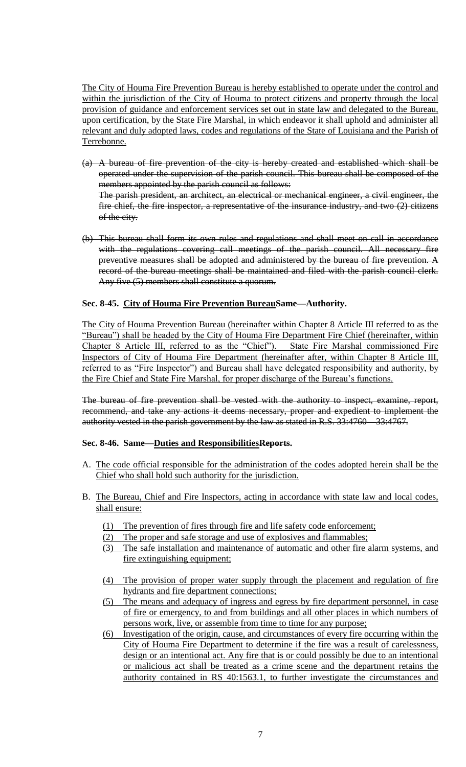The City of Houma Fire Prevention Bureau is hereby established to operate under the control and within the jurisdiction of the City of Houma to protect citizens and property through the local provision of guidance and enforcement services set out in state law and delegated to the Bureau, upon certification, by the State Fire Marshal, in which endeavor it shall uphold and administer all relevant and duly adopted laws, codes and regulations of the State of Louisiana and the Parish of Terrebonne.

- (a) A bureau of fire prevention of the city is hereby created and established which shall be operated under the supervision of the parish council. This bureau shall be composed of the members appointed by the parish council as follows: The parish president, an architect, an electrical or mechanical engineer, a civil engineer, the fire chief, the fire inspector, a representative of the insurance industry, and two (2) citizens of the city.
- (b) This bureau shall form its own rules and regulations and shall meet on call in accordance with the regulations covering call meetings of the parish council. All necessary fire preventive measures shall be adopted and administered by the bureau of fire prevention. A record of the bureau meetings shall be maintained and filed with the parish council clerk. Any five (5) members shall constitute a quorum.

# **Sec. 8-45. City of Houma Fire Prevention BureauSame—Authority.**

The City of Houma Prevention Bureau (hereinafter within Chapter 8 Article III referred to as the "Bureau") shall be headed by the City of Houma Fire Department Fire Chief (hereinafter, within Chapter 8 Article III, referred to as the "Chief"). State Fire Marshal commissioned Fire Inspectors of City of Houma Fire Department (hereinafter after, within Chapter 8 Article III, referred to as "Fire Inspector") and Bureau shall have delegated responsibility and authority, by the Fire Chief and State Fire Marshal, for proper discharge of the Bureau's functions.

The bureau of fire prevention shall be vested with the authority to inspect, examine, report, recommend, and take any actions it deems necessary, proper and expedient to implement the authority vested in the parish government by the law as stated in R.S. 33:4760—33:4767.

### **Sec. 8-46. Same—Duties and ResponsibilitiesReports.**

- A. The code official responsible for the administration of the codes adopted herein shall be the Chief who shall hold such authority for the jurisdiction.
- B. The Bureau, Chief and Fire Inspectors, acting in accordance with state law and local codes, shall ensure:
	- (1) The prevention of fires through fire and life safety code enforcement;
	- (2) The proper and safe storage and use of explosives and flammables;
	- (3) The safe installation and maintenance of automatic and other fire alarm systems, and fire extinguishing equipment;
	- (4) The provision of proper water supply through the placement and regulation of fire hydrants and fire department connections;
	- (5) The means and adequacy of ingress and egress by fire department personnel, in case of fire or emergency, to and from buildings and all other places in which numbers of persons work, live, or assemble from time to time for any purpose;
	- (6) Investigation of the origin, cause, and circumstances of every fire occurring within the City of Houma Fire Department to determine if the fire was a result of carelessness, design or an intentional act. Any fire that is or could possibly be due to an intentional or malicious act shall be treated as a crime scene and the department retains the authority contained in RS 40:1563.1, to further investigate the circumstances and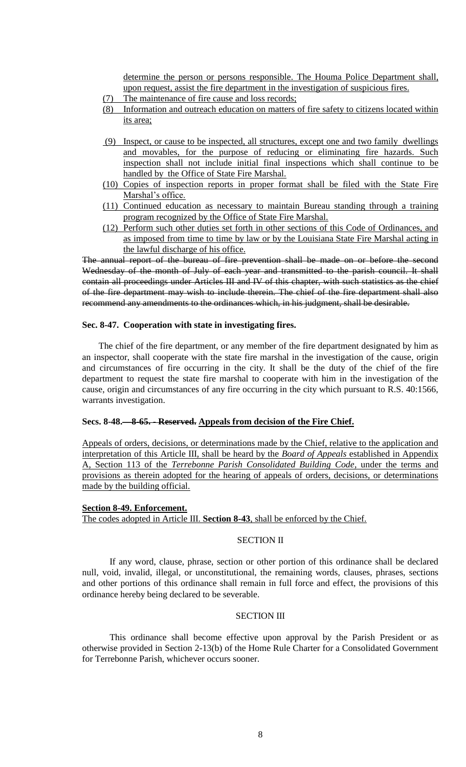determine the person or persons responsible. The Houma Police Department shall, upon request, assist the fire department in the investigation of suspicious fires.

- (7) The maintenance of fire cause and loss records;
- (8) Information and outreach education on matters of fire safety to citizens located within its area;
- (9) Inspect, or cause to be inspected, all structures, except one and two family dwellings and movables, for the purpose of reducing or eliminating fire hazards. Such inspection shall not include initial final inspections which shall continue to be handled by the Office of State Fire Marshal.
- (10) Copies of inspection reports in proper format shall be filed with the State Fire Marshal's office.
- (11) Continued education as necessary to maintain Bureau standing through a training program recognized by the Office of State Fire Marshal.
- (12) Perform such other duties set forth in other sections of this Code of Ordinances, and as imposed from time to time by law or by the Louisiana State Fire Marshal acting in the lawful discharge of his office.

The annual report of the bureau of fire prevention shall be made on or before the second Wednesday of the month of July of each year and transmitted to the parish council. It shall contain all proceedings under Articles III and IV of this chapter, with such statistics as the chief of the fire department may wish to include therein. The chief of the fire department shall also recommend any amendments to the ordinances which, in his judgment, shall be desirable.

# **Sec. 8-47. Cooperation with state in investigating fires.**

The chief of the fire department, or any member of the fire department designated by him as an inspector, shall cooperate with the state fire marshal in the investigation of the cause, origin and circumstances of fire occurring in the city. It shall be the duty of the chief of the fire department to request the state fire marshal to cooperate with him in the investigation of the cause, origin and circumstances of any fire occurring in the city which pursuant to R.S. 40:1566, warrants investigation.

### **Secs. 8-48.—8-65. - Reserved. Appeals from decision of the Fire Chief.**

Appeals of orders, decisions, or determinations made by the Chief, relative to the application and interpretation of this Article III, shall be heard by the *Board of Appeals* established in Appendix A, Section 113 of the *Terrebonne Parish Consolidated Building Code*, under the terms and provisions as therein adopted for the hearing of appeals of orders, decisions, or determinations made by the building official.

### **Section 8-49. Enforcement.**

The codes adopted in Article III. **Section 8-43**, shall be enforced by the Chief.

### SECTION II

If any word, clause, phrase, section or other portion of this ordinance shall be declared null, void, invalid, illegal, or unconstitutional, the remaining words, clauses, phrases, sections and other portions of this ordinance shall remain in full force and effect, the provisions of this ordinance hereby being declared to be severable.

## **SECTION III**

This ordinance shall become effective upon approval by the Parish President or as otherwise provided in Section 2-13(b) of the Home Rule Charter for a Consolidated Government for Terrebonne Parish, whichever occurs sooner.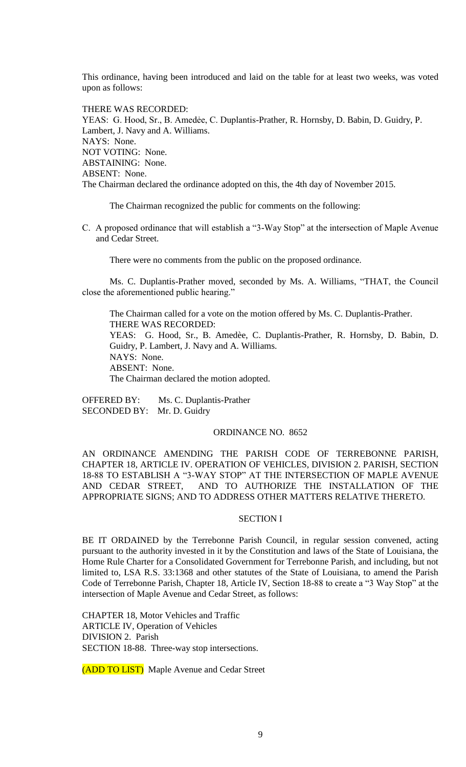This ordinance, having been introduced and laid on the table for at least two weeks, was voted upon as follows:

THERE WAS RECORDED: YEAS: G. Hood, Sr., B. Amedée, C. Duplantis-Prather, R. Hornsby, D. Babin, D. Guidry, P. Lambert, J. Navy and A. Williams. NAYS: None. NOT VOTING: None. ABSTAINING: None. ABSENT: None. The Chairman declared the ordinance adopted on this, the 4th day of November 2015.

The Chairman recognized the public for comments on the following:

C. A proposed ordinance that will establish a "3-Way Stop" at the intersection of Maple Avenue and Cedar Street.

There were no comments from the public on the proposed ordinance.

Ms. C. Duplantis-Prather moved, seconded by Ms. A. Williams, "THAT, the Council close the aforementioned public hearing."

The Chairman called for a vote on the motion offered by Ms. C. Duplantis-Prather. THERE WAS RECORDED: YEAS: G. Hood, Sr., B. Amedèe, C. Duplantis-Prather, R. Hornsby, D. Babin, D. Guidry, P. Lambert, J. Navy and A. Williams. NAYS: None. ABSENT: None. The Chairman declared the motion adopted.

OFFERED BY: Ms. C. Duplantis-Prather SECONDED BY: Mr. D. Guidry

## ORDINANCE NO. 8652

AN ORDINANCE AMENDING THE PARISH CODE OF TERREBONNE PARISH, CHAPTER 18, ARTICLE IV. OPERATION OF VEHICLES, DIVISION 2. PARISH, SECTION 18-88 TO ESTABLISH A "3-WAY STOP" AT THE INTERSECTION OF MAPLE AVENUE AND CEDAR STREET, AND TO AUTHORIZE THE INSTALLATION OF THE APPROPRIATE SIGNS; AND TO ADDRESS OTHER MATTERS RELATIVE THERETO.

#### SECTION I

BE IT ORDAINED by the Terrebonne Parish Council, in regular session convened, acting pursuant to the authority invested in it by the Constitution and laws of the State of Louisiana, the Home Rule Charter for a Consolidated Government for Terrebonne Parish, and including, but not limited to, LSA R.S. 33:1368 and other statutes of the State of Louisiana, to amend the Parish Code of Terrebonne Parish, Chapter 18, Article IV, Section 18-88 to create a "3 Way Stop" at the intersection of Maple Avenue and Cedar Street, as follows:

CHAPTER 18, Motor Vehicles and Traffic ARTICLE IV, Operation of Vehicles DIVISION 2. Parish SECTION 18-88. Three-way stop intersections.

(ADD TO LIST) Maple Avenue and Cedar Street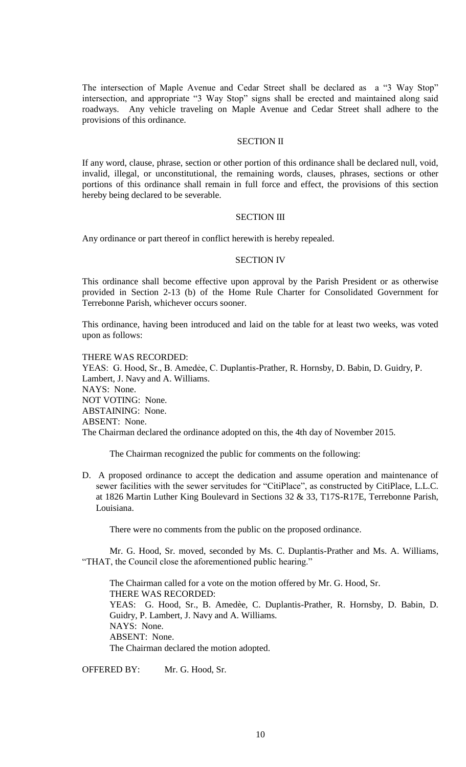The intersection of Maple Avenue and Cedar Street shall be declared as a "3 Way Stop" intersection, and appropriate "3 Way Stop" signs shall be erected and maintained along said roadways. Any vehicle traveling on Maple Avenue and Cedar Street shall adhere to the provisions of this ordinance.

# SECTION II

If any word, clause, phrase, section or other portion of this ordinance shall be declared null, void, invalid, illegal, or unconstitutional, the remaining words, clauses, phrases, sections or other portions of this ordinance shall remain in full force and effect, the provisions of this section hereby being declared to be severable.

#### SECTION III

Any ordinance or part thereof in conflict herewith is hereby repealed.

#### SECTION IV

This ordinance shall become effective upon approval by the Parish President or as otherwise provided in Section 2-13 (b) of the Home Rule Charter for Consolidated Government for Terrebonne Parish, whichever occurs sooner.

This ordinance, having been introduced and laid on the table for at least two weeks, was voted upon as follows:

### THERE WAS RECORDED:

YEAS: G. Hood, Sr., B. Amedẻe, C. Duplantis-Prather, R. Hornsby, D. Babin, D. Guidry, P. Lambert, J. Navy and A. Williams. NAYS: None. NOT VOTING: None. ABSTAINING: None. ABSENT: None. The Chairman declared the ordinance adopted on this, the 4th day of November 2015.

The Chairman recognized the public for comments on the following:

D. A proposed ordinance to accept the dedication and assume operation and maintenance of sewer facilities with the sewer servitudes for "CitiPlace", as constructed by CitiPlace, L.L.C. at 1826 Martin Luther King Boulevard in Sections 32 & 33, T17S-R17E, Terrebonne Parish, Louisiana.

There were no comments from the public on the proposed ordinance.

Mr. G. Hood, Sr. moved, seconded by Ms. C. Duplantis-Prather and Ms. A. Williams, "THAT, the Council close the aforementioned public hearing."

The Chairman called for a vote on the motion offered by Mr. G. Hood, Sr. THERE WAS RECORDED: YEAS: G. Hood, Sr., B. Amedèe, C. Duplantis-Prather, R. Hornsby, D. Babin, D. Guidry, P. Lambert, J. Navy and A. Williams. NAYS: None. ABSENT: None. The Chairman declared the motion adopted.

OFFERED BY: Mr. G. Hood, Sr.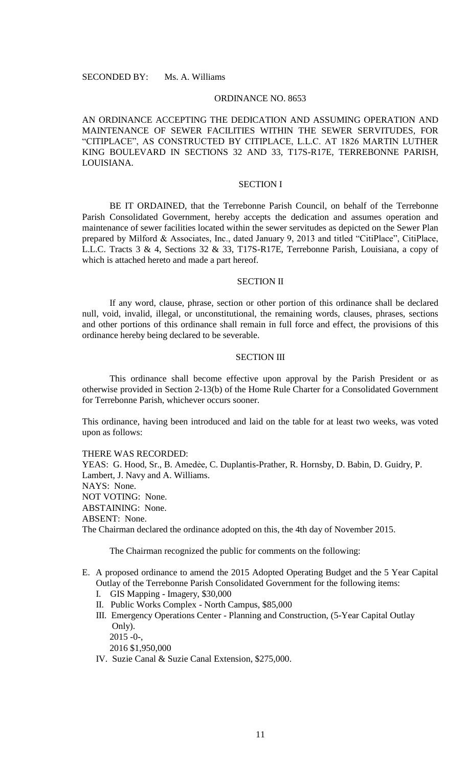# ORDINANCE NO. 8653

AN ORDINANCE ACCEPTING THE DEDICATION AND ASSUMING OPERATION AND MAINTENANCE OF SEWER FACILITIES WITHIN THE SEWER SERVITUDES, FOR "CITIPLACE", AS CONSTRUCTED BY CITIPLACE, L.L.C. AT 1826 MARTIN LUTHER KING BOULEVARD IN SECTIONS 32 AND 33, T17S-R17E, TERREBONNE PARISH, LOUISIANA.

# SECTION I

BE IT ORDAINED, that the Terrebonne Parish Council, on behalf of the Terrebonne Parish Consolidated Government, hereby accepts the dedication and assumes operation and maintenance of sewer facilities located within the sewer servitudes as depicted on the Sewer Plan prepared by Milford & Associates, Inc., dated January 9, 2013 and titled "CitiPlace", CitiPlace, L.L.C. Tracts 3 & 4, Sections 32 & 33, T17S-R17E, Terrebonne Parish, Louisiana, a copy of which is attached hereto and made a part hereof.

#### SECTION II

If any word, clause, phrase, section or other portion of this ordinance shall be declared null, void, invalid, illegal, or unconstitutional, the remaining words, clauses, phrases, sections and other portions of this ordinance shall remain in full force and effect, the provisions of this ordinance hereby being declared to be severable.

## SECTION III

This ordinance shall become effective upon approval by the Parish President or as otherwise provided in Section 2-13(b) of the Home Rule Charter for a Consolidated Government for Terrebonne Parish, whichever occurs sooner.

This ordinance, having been introduced and laid on the table for at least two weeks, was voted upon as follows:

## THERE WAS RECORDED:

YEAS: G. Hood, Sr., B. Amedée, C. Duplantis-Prather, R. Hornsby, D. Babin, D. Guidry, P. Lambert, J. Navy and A. Williams. NAYS: None. NOT VOTING: None. ABSTAINING: None. ABSENT: None. The Chairman declared the ordinance adopted on this, the 4th day of November 2015.

The Chairman recognized the public for comments on the following:

- E. A proposed ordinance to amend the 2015 Adopted Operating Budget and the 5 Year Capital Outlay of the Terrebonne Parish Consolidated Government for the following items:
	- I. GIS Mapping Imagery, \$30,000
	- II. Public Works Complex North Campus, \$85,000
	- III. Emergency Operations Center Planning and Construction, (5-Year Capital Outlay Only).
		- 2015 -0-,

2016 \$1,950,000

IV. Suzie Canal & Suzie Canal Extension, \$275,000.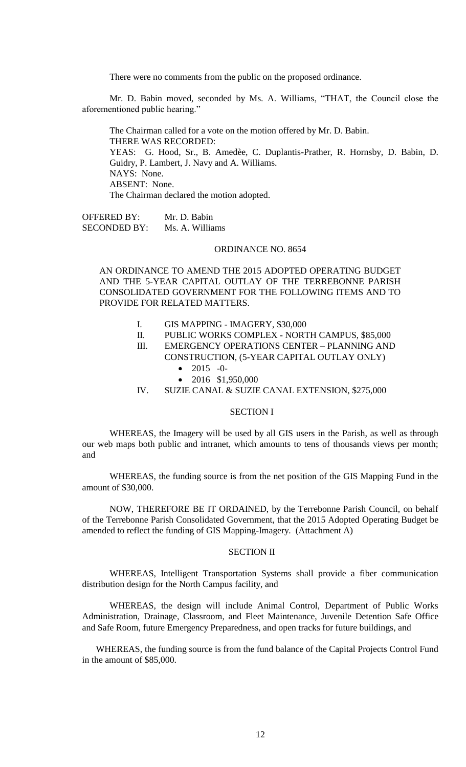There were no comments from the public on the proposed ordinance.

Mr. D. Babin moved, seconded by Ms. A. Williams, "THAT, the Council close the aforementioned public hearing."

The Chairman called for a vote on the motion offered by Mr. D. Babin. THERE WAS RECORDED: YEAS: G. Hood, Sr., B. Amedèe, C. Duplantis-Prather, R. Hornsby, D. Babin, D. Guidry, P. Lambert, J. Navy and A. Williams. NAYS: None. ABSENT: None. The Chairman declared the motion adopted.

OFFERED BY: Mr. D. Babin SECONDED BY: Ms. A. Williams

# ORDINANCE NO. 8654

AN ORDINANCE TO AMEND THE 2015 ADOPTED OPERATING BUDGET AND THE 5-YEAR CAPITAL OUTLAY OF THE TERREBONNE PARISH CONSOLIDATED GOVERNMENT FOR THE FOLLOWING ITEMS AND TO PROVIDE FOR RELATED MATTERS.

- I. GIS MAPPING IMAGERY, \$30,000
- II. PUBLIC WORKS COMPLEX NORTH CAMPUS, \$85,000
- III. EMERGENCY OPERATIONS CENTER PLANNING AND CONSTRUCTION, (5-YEAR CAPITAL OUTLAY ONLY)
	- $\bullet$  2015 -0-
	- 2016 \$1,950,000
- IV. SUZIE CANAL & SUZIE CANAL EXTENSION, \$275,000

### SECTION I

WHEREAS, the Imagery will be used by all GIS users in the Parish, as well as through our web maps both public and intranet, which amounts to tens of thousands views per month; and

WHEREAS, the funding source is from the net position of the GIS Mapping Fund in the amount of \$30,000.

NOW, THEREFORE BE IT ORDAINED, by the Terrebonne Parish Council, on behalf of the Terrebonne Parish Consolidated Government, that the 2015 Adopted Operating Budget be amended to reflect the funding of GIS Mapping-Imagery. (Attachment A)

### SECTION II

WHEREAS, Intelligent Transportation Systems shall provide a fiber communication distribution design for the North Campus facility, and

WHEREAS, the design will include Animal Control, Department of Public Works Administration, Drainage, Classroom, and Fleet Maintenance, Juvenile Detention Safe Office and Safe Room, future Emergency Preparedness, and open tracks for future buildings, and

WHEREAS, the funding source is from the fund balance of the Capital Projects Control Fund in the amount of \$85,000.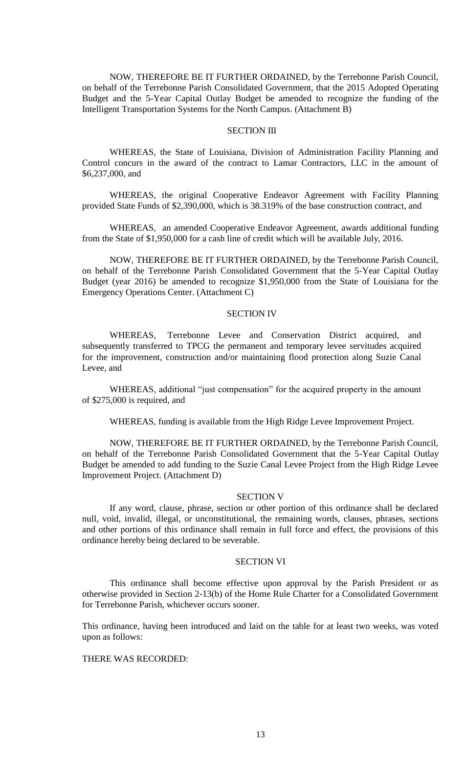NOW, THEREFORE BE IT FURTHER ORDAINED, by the Terrebonne Parish Council, on behalf of the Terrebonne Parish Consolidated Government, that the 2015 Adopted Operating Budget and the 5-Year Capital Outlay Budget be amended to recognize the funding of the Intelligent Transportation Systems for the North Campus. (Attachment B)

# **SECTION III**

WHEREAS, the State of Louisiana, Division of Administration Facility Planning and Control concurs in the award of the contract to Lamar Contractors, LLC in the amount of \$6,237,000, and

WHEREAS, the original Cooperative Endeavor Agreement with Facility Planning provided State Funds of \$2,390,000, which is 38.319% of the base construction contract, and

WHEREAS, an amended Cooperative Endeavor Agreement, awards additional funding from the State of \$1,950,000 for a cash line of credit which will be available July, 2016.

NOW, THEREFORE BE IT FURTHER ORDAINED, by the Terrebonne Parish Council, on behalf of the Terrebonne Parish Consolidated Government that the 5-Year Capital Outlay Budget (year 2016) be amended to recognize \$1,950,000 from the State of Louisiana for the Emergency Operations Center. (Attachment C)

#### SECTION IV

WHEREAS, Terrebonne Levee and Conservation District acquired, and subsequently transferred to TPCG the permanent and temporary levee servitudes acquired for the improvement, construction and/or maintaining flood protection along Suzie Canal Levee, and

WHEREAS, additional "just compensation" for the acquired property in the amount of \$275,000 is required, and

WHEREAS, funding is available from the High Ridge Levee Improvement Project.

NOW, THEREFORE BE IT FURTHER ORDAINED, by the Terrebonne Parish Council, on behalf of the Terrebonne Parish Consolidated Government that the 5-Year Capital Outlay Budget be amended to add funding to the Suzie Canal Levee Project from the High Ridge Levee Improvement Project. (Attachment D)

#### SECTION V

If any word, clause, phrase, section or other portion of this ordinance shall be declared null, void, invalid, illegal, or unconstitutional, the remaining words, clauses, phrases, sections and other portions of this ordinance shall remain in full force and effect, the provisions of this ordinance hereby being declared to be severable.

### SECTION VI

This ordinance shall become effective upon approval by the Parish President or as otherwise provided in Section 2-13(b) of the Home Rule Charter for a Consolidated Government for Terrebonne Parish, whichever occurs sooner.

This ordinance, having been introduced and laid on the table for at least two weeks, was voted upon as follows:

# THERE WAS RECORDED: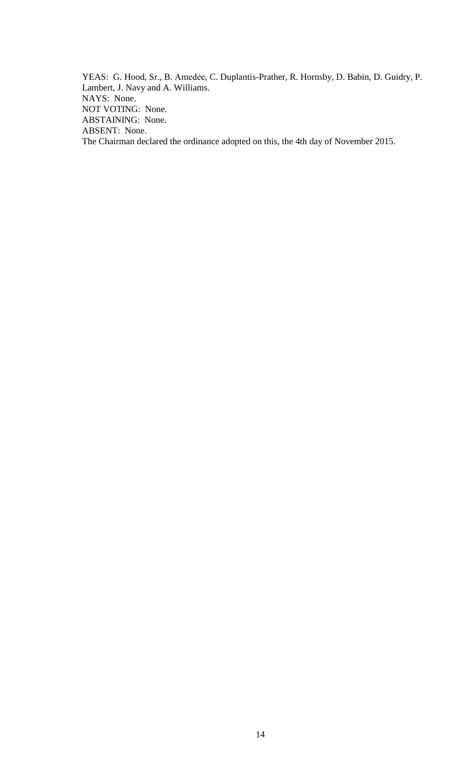YEAS: G. Hood, Sr., B. Amedẻe, C. Duplantis-Prather, R. Hornsby, D. Babin, D. Guidry, P. Lambert, J. Navy and A. Williams. NAYS: None. NOT VOTING: None. ABSTAINING: None. ABSENT: None. The Chairman declared the ordinance adopted on this, the 4th day of November 2015.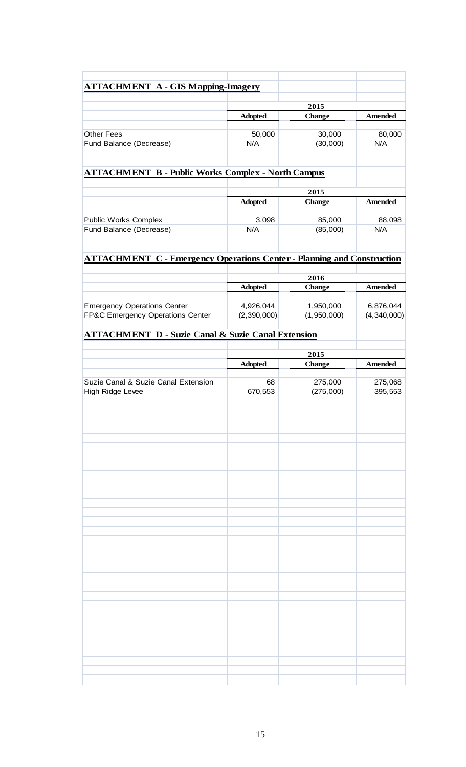| <b>ATTACHMENT A - GIS Mapping-Imagery</b>                                     |                |                      |                    |
|-------------------------------------------------------------------------------|----------------|----------------------|--------------------|
|                                                                               | 2015           |                      |                    |
|                                                                               | <b>Adopted</b> | <b>Change</b>        | Amended            |
| <b>Other Fees</b>                                                             | 50,000         | 30,000               | 80,000             |
| Fund Balance (Decrease)                                                       | N/A            | (30,000)             | N/A                |
|                                                                               |                |                      |                    |
| <b>ATTACHMENT B - Public Works Complex - North Campus</b>                     |                |                      |                    |
|                                                                               | 2015           |                      |                    |
|                                                                               | <b>Adopted</b> | <b>Change</b>        | Amended            |
| <b>Public Works Complex</b>                                                   | 3,098          | 85,000               | 88,098             |
| Fund Balance (Decrease)                                                       | N/A            | (85,000)             | N/A                |
|                                                                               |                |                      |                    |
| <b>ATTACHMENT C - Emergency Operations Center - Planning and Construction</b> |                |                      |                    |
|                                                                               |                | 2016                 |                    |
|                                                                               | <b>Adopted</b> | <b>Change</b>        | Amended            |
| <b>Emergency Operations Center</b>                                            | 4,926,044      | 1,950,000            | 6,876,044          |
| FP&C Emergency Operations Center                                              | (2,390,000)    | (1,950,000)          | (4,340,000)        |
| <b>ATTACHMENT D - Suzie Canal &amp; Suzie Canal Extension</b>                 |                |                      |                    |
|                                                                               |                |                      |                    |
|                                                                               |                | 2015                 |                    |
|                                                                               | <b>Adopted</b> | <b>Change</b>        | Amended            |
|                                                                               | 68             |                      |                    |
| Suzie Canal & Suzie Canal Extension<br>High Ridge Levee                       | 670,553        | 275,000<br>(275,000) | 275,068<br>395,553 |
|                                                                               |                |                      |                    |
|                                                                               |                |                      |                    |
|                                                                               |                |                      |                    |
|                                                                               |                |                      |                    |
|                                                                               |                |                      |                    |
|                                                                               |                |                      |                    |
|                                                                               |                |                      |                    |
|                                                                               |                |                      |                    |
|                                                                               |                |                      |                    |
|                                                                               |                |                      |                    |
|                                                                               |                |                      |                    |
|                                                                               |                |                      |                    |
|                                                                               |                |                      |                    |
|                                                                               |                |                      |                    |
|                                                                               |                |                      |                    |
|                                                                               |                |                      |                    |
|                                                                               |                |                      |                    |
|                                                                               |                |                      |                    |
|                                                                               |                |                      |                    |
|                                                                               |                |                      |                    |
|                                                                               |                |                      |                    |
|                                                                               |                |                      |                    |
|                                                                               |                |                      |                    |
|                                                                               |                |                      |                    |
|                                                                               |                |                      |                    |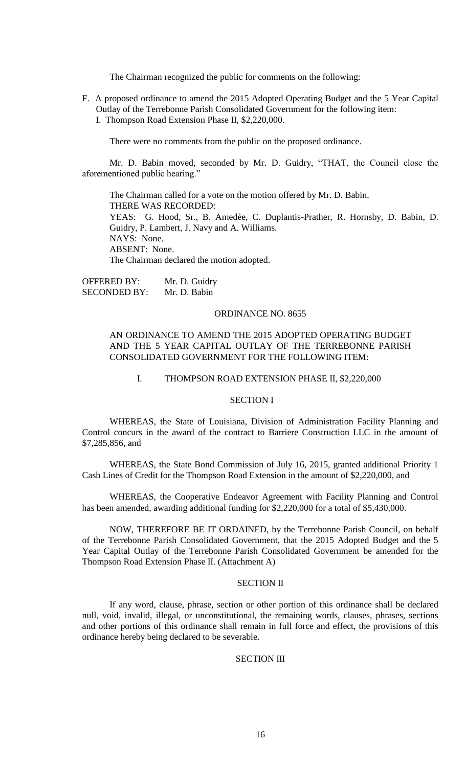The Chairman recognized the public for comments on the following:

F. A proposed ordinance to amend the 2015 Adopted Operating Budget and the 5 Year Capital Outlay of the Terrebonne Parish Consolidated Government for the following item: I. Thompson Road Extension Phase II, \$2,220,000.

There were no comments from the public on the proposed ordinance.

Mr. D. Babin moved, seconded by Mr. D. Guidry, "THAT, the Council close the aforementioned public hearing."

The Chairman called for a vote on the motion offered by Mr. D. Babin. THERE WAS RECORDED: YEAS: G. Hood, Sr., B. Amedèe, C. Duplantis-Prather, R. Hornsby, D. Babin, D. Guidry, P. Lambert, J. Navy and A. Williams. NAYS: None. ABSENT: None. The Chairman declared the motion adopted.

OFFERED BY: Mr. D. Guidry SECONDED BY: Mr. D. Babin

#### ORDINANCE NO. 8655

# AN ORDINANCE TO AMEND THE 2015 ADOPTED OPERATING BUDGET AND THE 5 YEAR CAPITAL OUTLAY OF THE TERREBONNE PARISH CONSOLIDATED GOVERNMENT FOR THE FOLLOWING ITEM:

#### I. THOMPSON ROAD EXTENSION PHASE II, \$2,220,000

## SECTION I

WHEREAS, the State of Louisiana, Division of Administration Facility Planning and Control concurs in the award of the contract to Barriere Construction LLC in the amount of \$7,285,856, and

WHEREAS, the State Bond Commission of July 16, 2015, granted additional Priority 1 Cash Lines of Credit for the Thompson Road Extension in the amount of \$2,220,000, and

WHEREAS, the Cooperative Endeavor Agreement with Facility Planning and Control has been amended, awarding additional funding for \$2,220,000 for a total of \$5,430,000.

NOW, THEREFORE BE IT ORDAINED, by the Terrebonne Parish Council, on behalf of the Terrebonne Parish Consolidated Government, that the 2015 Adopted Budget and the 5 Year Capital Outlay of the Terrebonne Parish Consolidated Government be amended for the Thompson Road Extension Phase II. (Attachment A)

## SECTION II

If any word, clause, phrase, section or other portion of this ordinance shall be declared null, void, invalid, illegal, or unconstitutional, the remaining words, clauses, phrases, sections and other portions of this ordinance shall remain in full force and effect, the provisions of this ordinance hereby being declared to be severable.

## SECTION III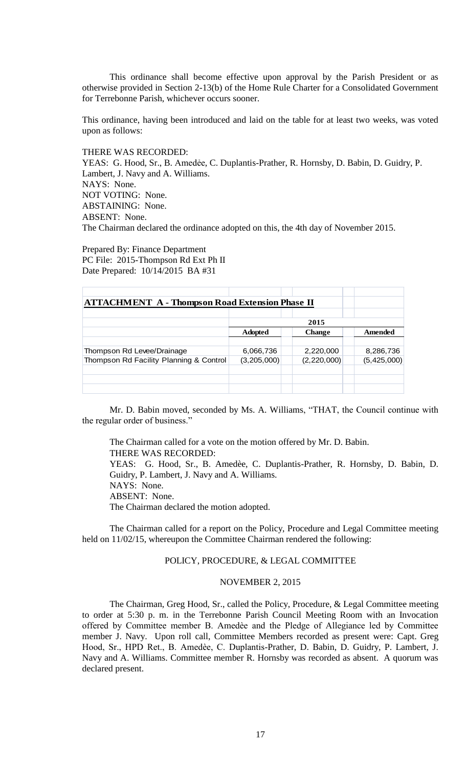This ordinance shall become effective upon approval by the Parish President or as otherwise provided in Section 2-13(b) of the Home Rule Charter for a Consolidated Government for Terrebonne Parish, whichever occurs sooner.

This ordinance, having been introduced and laid on the table for at least two weeks, was voted upon as follows:

# THERE WAS RECORDED:

YEAS: G. Hood, Sr., B. Amedée, C. Duplantis-Prather, R. Hornsby, D. Babin, D. Guidry, P. Lambert, J. Navy and A. Williams. NAYS: None. NOT VOTING: None. ABSTAINING: None. ABSENT: None. The Chairman declared the ordinance adopted on this, the 4th day of November 2015.

Prepared By: Finance Department PC File: 2015-Thompson Rd Ext Ph II Date Prepared: 10/14/2015 BA #31

| <b>ATTACHMENT A - Thompson Road Extension Phase II</b> |                |               |             |
|--------------------------------------------------------|----------------|---------------|-------------|
|                                                        |                |               |             |
|                                                        | 2015           |               |             |
|                                                        | <b>Adopted</b> | <b>Change</b> | Amended     |
|                                                        |                |               |             |
| Thompson Rd Levee/Drainage                             | 6,066,736      | 2,220,000     | 8,286,736   |
| Thompson Rd Facility Planning & Control                | (3,205,000)    | (2, 220, 000) | (5,425,000) |
|                                                        |                |               |             |
|                                                        |                |               |             |
|                                                        |                |               |             |

Mr. D. Babin moved, seconded by Ms. A. Williams, "THAT, the Council continue with the regular order of business."

The Chairman called for a vote on the motion offered by Mr. D. Babin. THERE WAS RECORDED: YEAS: G. Hood, Sr., B. Amedèe, C. Duplantis-Prather, R. Hornsby, D. Babin, D. Guidry, P. Lambert, J. Navy and A. Williams. NAYS: None. ABSENT: None. The Chairman declared the motion adopted.

The Chairman called for a report on the Policy, Procedure and Legal Committee meeting held on 11/02/15, whereupon the Committee Chairman rendered the following:

# POLICY, PROCEDURE, & LEGAL COMMITTEE

### NOVEMBER 2, 2015

The Chairman, Greg Hood, Sr., called the Policy, Procedure, & Legal Committee meeting to order at 5:30 p. m. in the Terrebonne Parish Council Meeting Room with an Invocation offered by Committee member B. Amedèe and the Pledge of Allegiance led by Committee member J. Navy. Upon roll call, Committee Members recorded as present were: Capt. Greg Hood, Sr., HPD Ret., B. Amedèe, C. Duplantis-Prather, D. Babin, D. Guidry, P. Lambert, J. Navy and A. Williams. Committee member R. Hornsby was recorded as absent. A quorum was declared present.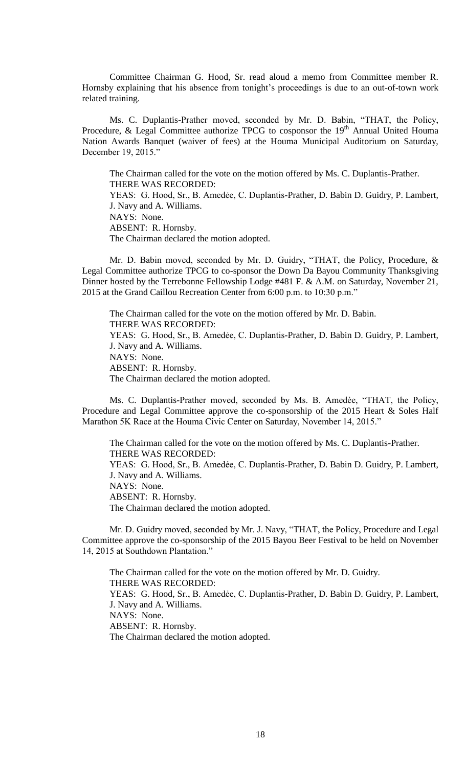Committee Chairman G. Hood, Sr. read aloud a memo from Committee member R. Hornsby explaining that his absence from tonight's proceedings is due to an out-of-town work related training.

Ms. C. Duplantis-Prather moved, seconded by Mr. D. Babin, "THAT, the Policy, Procedure, & Legal Committee authorize TPCG to cosponsor the 19<sup>th</sup> Annual United Houma Nation Awards Banquet (waiver of fees) at the Houma Municipal Auditorium on Saturday, December 19, 2015."

The Chairman called for the vote on the motion offered by Ms. C. Duplantis-Prather. THERE WAS RECORDED: YEAS: G. Hood, Sr., B. Amedẻe, C. Duplantis-Prather, D. Babin D. Guidry, P. Lambert, J. Navy and A. Williams. NAYS: None. ABSENT: R. Hornsby. The Chairman declared the motion adopted.

 Mr. D. Babin moved, seconded by Mr. D. Guidry, "THAT, the Policy, Procedure, & Legal Committee authorize TPCG to co-sponsor the Down Da Bayou Community Thanksgiving Dinner hosted by the Terrebonne Fellowship Lodge #481 F. & A.M. on Saturday, November 21, 2015 at the Grand Caillou Recreation Center from 6:00 p.m. to 10:30 p.m."

The Chairman called for the vote on the motion offered by Mr. D. Babin. THERE WAS RECORDED: YEAS: G. Hood, Sr., B. Amedée, C. Duplantis-Prather, D. Babin D. Guidry, P. Lambert, J. Navy and A. Williams. NAYS: None. ABSENT: R. Hornsby. The Chairman declared the motion adopted.

Ms. C. Duplantis-Prather moved, seconded by Ms. B. Amedѐe, "THAT, the Policy, Procedure and Legal Committee approve the co-sponsorship of the 2015 Heart & Soles Half Marathon 5K Race at the Houma Civic Center on Saturday, November 14, 2015."

The Chairman called for the vote on the motion offered by Ms. C. Duplantis-Prather. THERE WAS RECORDED: YEAS: G. Hood, Sr., B. Amedée, C. Duplantis-Prather, D. Babin D. Guidry, P. Lambert, J. Navy and A. Williams. NAYS: None. ABSENT: R. Hornsby. The Chairman declared the motion adopted.

Mr. D. Guidry moved, seconded by Mr. J. Navy, "THAT, the Policy, Procedure and Legal Committee approve the co-sponsorship of the 2015 Bayou Beer Festival to be held on November 14, 2015 at Southdown Plantation."

The Chairman called for the vote on the motion offered by Mr. D. Guidry. THERE WAS RECORDED: YEAS: G. Hood, Sr., B. Amedée, C. Duplantis-Prather, D. Babin D. Guidry, P. Lambert, J. Navy and A. Williams. NAYS: None. ABSENT: R. Hornsby. The Chairman declared the motion adopted.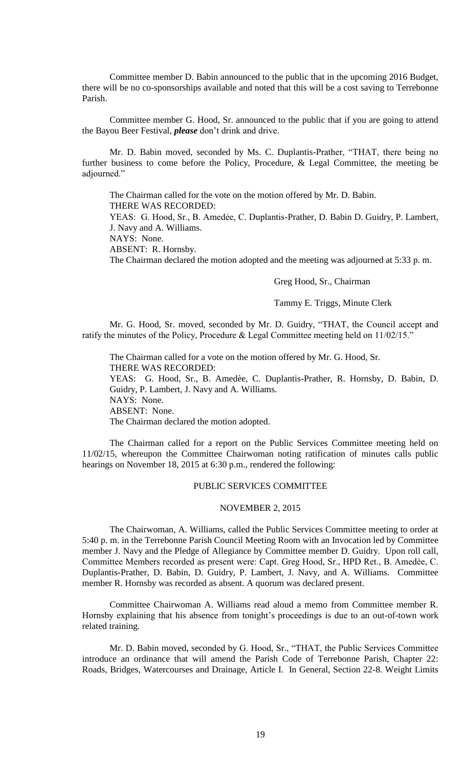Committee member D. Babin announced to the public that in the upcoming 2016 Budget, there will be no co-sponsorships available and noted that this will be a cost saving to Terrebonne Parish.

Committee member G. Hood, Sr. announced to the public that if you are going to attend the Bayou Beer Festival, *please* don't drink and drive.

Mr. D. Babin moved, seconded by Ms. C. Duplantis-Prather, "THAT, there being no further business to come before the Policy, Procedure, & Legal Committee, the meeting be adjourned."

The Chairman called for the vote on the motion offered by Mr. D. Babin. THERE WAS RECORDED:

YEAS: G. Hood, Sr., B. Amedẻe, C. Duplantis-Prather, D. Babin D. Guidry, P. Lambert, J. Navy and A. Williams.

NAYS: None.

ABSENT: R. Hornsby.

The Chairman declared the motion adopted and the meeting was adjourned at 5:33 p. m.

#### Greg Hood, Sr., Chairman

### Tammy E. Triggs, Minute Clerk

Mr. G. Hood, Sr. moved, seconded by Mr. D. Guidry, "THAT, the Council accept and ratify the minutes of the Policy, Procedure & Legal Committee meeting held on 11/02/15."

The Chairman called for a vote on the motion offered by Mr. G. Hood, Sr. THERE WAS RECORDED: YEAS: G. Hood, Sr., B. Amedèe, C. Duplantis-Prather, R. Hornsby, D. Babin, D. Guidry, P. Lambert, J. Navy and A. Williams. NAYS: None. ABSENT: None. The Chairman declared the motion adopted.

The Chairman called for a report on the Public Services Committee meeting held on 11/02/15, whereupon the Committee Chairwoman noting ratification of minutes calls public hearings on November 18, 2015 at 6:30 p.m., rendered the following:

# PUBLIC SERVICES COMMITTEE

#### NOVEMBER 2, 2015

The Chairwoman, A. Williams, called the Public Services Committee meeting to order at 5:40 p. m. in the Terrebonne Parish Council Meeting Room with an Invocation led by Committee member J. Navy and the Pledge of Allegiance by Committee member D. Guidry. Upon roll call, Committee Members recorded as present were: Capt. Greg Hood, Sr., HPD Ret., B. Amedѐe, C. Duplantis-Prather, D. Babin, D. Guidry, P. Lambert, J. Navy, and A. Williams. Committee member R. Hornsby was recorded as absent. A quorum was declared present.

Committee Chairwoman A. Williams read aloud a memo from Committee member R. Hornsby explaining that his absence from tonight's proceedings is due to an out-of-town work related training.

Mr. D. Babin moved, seconded by G. Hood, Sr., "THAT, the Public Services Committee introduce an ordinance that will amend the Parish Code of Terrebonne Parish, Chapter 22: Roads, Bridges, Watercourses and Drainage, Article I. In General, Section 22-8. Weight Limits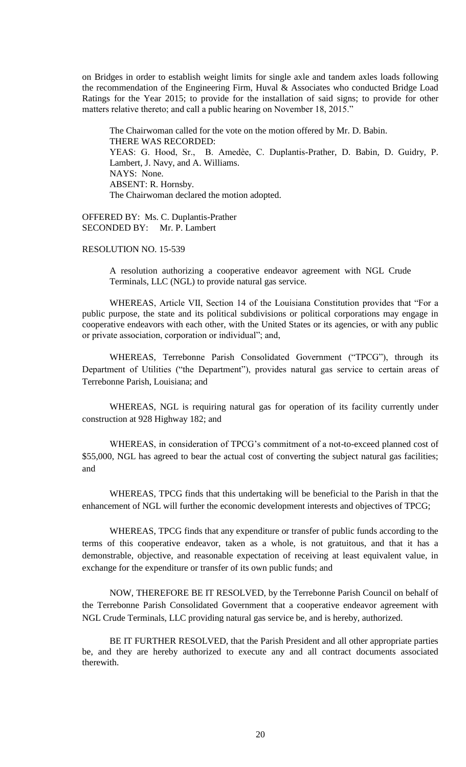on Bridges in order to establish weight limits for single axle and tandem axles loads following the recommendation of the Engineering Firm, Huval & Associates who conducted Bridge Load Ratings for the Year 2015; to provide for the installation of said signs; to provide for other matters relative thereto; and call a public hearing on November 18, 2015."

The Chairwoman called for the vote on the motion offered by Mr. D. Babin. THERE WAS RECORDED: YEAS: G. Hood, Sr., B. Amedѐe, C. Duplantis-Prather, D. Babin, D. Guidry, P. Lambert, J. Navy, and A. Williams. NAYS: None. ABSENT: R. Hornsby. The Chairwoman declared the motion adopted.

OFFERED BY: Ms. C. Duplantis-Prather SECONDED BY: Mr. P. Lambert

# RESOLUTION NO. 15-539

A resolution authorizing a cooperative endeavor agreement with NGL Crude Terminals, LLC (NGL) to provide natural gas service.

WHEREAS, Article VII, Section 14 of the Louisiana Constitution provides that "For a public purpose, the state and its political subdivisions or political corporations may engage in cooperative endeavors with each other, with the United States or its agencies, or with any public or private association, corporation or individual"; and,

WHEREAS, Terrebonne Parish Consolidated Government ("TPCG"), through its Department of Utilities ("the Department"), provides natural gas service to certain areas of Terrebonne Parish, Louisiana; and

WHEREAS, NGL is requiring natural gas for operation of its facility currently under construction at 928 Highway 182; and

WHEREAS, in consideration of TPCG's commitment of a not-to-exceed planned cost of \$55,000, NGL has agreed to bear the actual cost of converting the subject natural gas facilities; and

WHEREAS, TPCG finds that this undertaking will be beneficial to the Parish in that the enhancement of NGL will further the economic development interests and objectives of TPCG;

WHEREAS, TPCG finds that any expenditure or transfer of public funds according to the terms of this cooperative endeavor, taken as a whole, is not gratuitous, and that it has a demonstrable, objective, and reasonable expectation of receiving at least equivalent value, in exchange for the expenditure or transfer of its own public funds; and

NOW, THEREFORE BE IT RESOLVED, by the Terrebonne Parish Council on behalf of the Terrebonne Parish Consolidated Government that a cooperative endeavor agreement with NGL Crude Terminals, LLC providing natural gas service be, and is hereby, authorized.

BE IT FURTHER RESOLVED, that the Parish President and all other appropriate parties be, and they are hereby authorized to execute any and all contract documents associated therewith.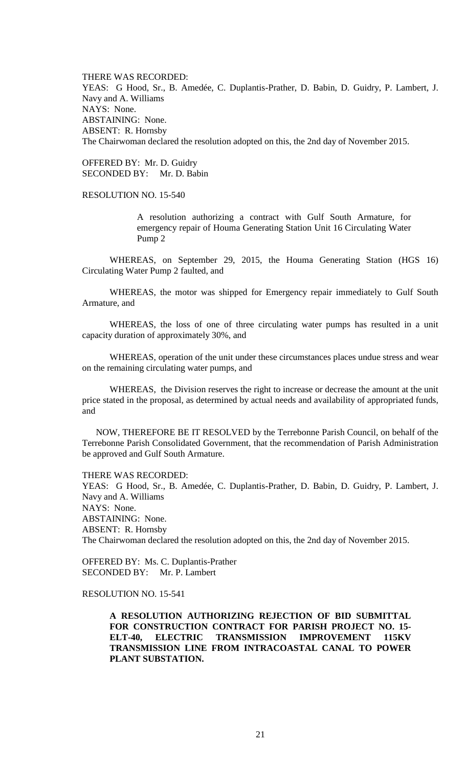THERE WAS RECORDED: YEAS: G Hood, Sr., B. Amedée, C. Duplantis-Prather, D. Babin, D. Guidry, P. Lambert, J. Navy and A. Williams NAYS: None. ABSTAINING: None. ABSENT: R. Hornsby The Chairwoman declared the resolution adopted on this, the 2nd day of November 2015.

OFFERED BY: Mr. D. Guidry SECONDED BY: Mr. D. Babin

# RESOLUTION NO. 15-540

A resolution authorizing a contract with Gulf South Armature, for emergency repair of Houma Generating Station Unit 16 Circulating Water Pump 2

WHEREAS, on September 29, 2015, the Houma Generating Station (HGS 16) Circulating Water Pump 2 faulted, and

WHEREAS, the motor was shipped for Emergency repair immediately to Gulf South Armature, and

WHEREAS, the loss of one of three circulating water pumps has resulted in a unit capacity duration of approximately 30%, and

WHEREAS, operation of the unit under these circumstances places undue stress and wear on the remaining circulating water pumps, and

WHEREAS, the Division reserves the right to increase or decrease the amount at the unit price stated in the proposal, as determined by actual needs and availability of appropriated funds, and

NOW, THEREFORE BE IT RESOLVED by the Terrebonne Parish Council, on behalf of the Terrebonne Parish Consolidated Government, that the recommendation of Parish Administration be approved and Gulf South Armature.

#### THERE WAS RECORDED:

YEAS: G Hood, Sr., B. Amedée, C. Duplantis-Prather, D. Babin, D. Guidry, P. Lambert, J. Navy and A. Williams NAYS: None. ABSTAINING: None. ABSENT: R. Hornsby The Chairwoman declared the resolution adopted on this, the 2nd day of November 2015.

OFFERED BY: Ms. C. Duplantis-Prather SECONDED BY: Mr. P. Lambert

# RESOLUTION NO. 15-541

**A RESOLUTION AUTHORIZING REJECTION OF BID SUBMITTAL FOR CONSTRUCTION CONTRACT FOR PARISH PROJECT NO. 15- ELT-40, ELECTRIC TRANSMISSION IMPROVEMENT 115KV TRANSMISSION LINE FROM INTRACOASTAL CANAL TO POWER PLANT SUBSTATION.**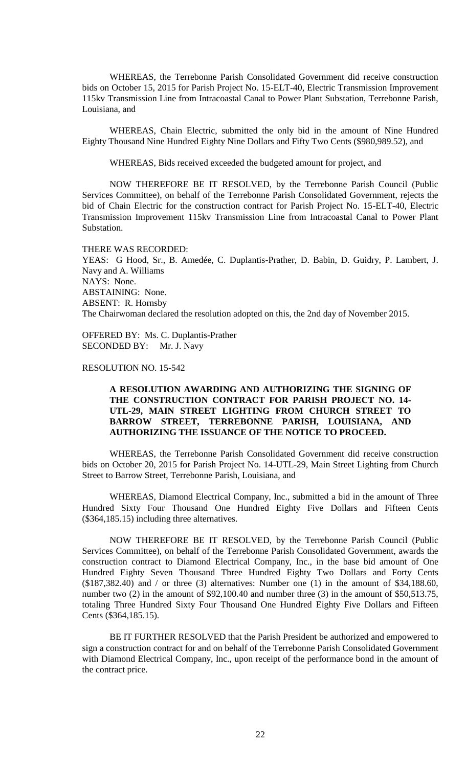WHEREAS, the Terrebonne Parish Consolidated Government did receive construction bids on October 15, 2015 for Parish Project No. 15-ELT-40, Electric Transmission Improvement 115kv Transmission Line from Intracoastal Canal to Power Plant Substation, Terrebonne Parish, Louisiana, and

WHEREAS, Chain Electric, submitted the only bid in the amount of Nine Hundred Eighty Thousand Nine Hundred Eighty Nine Dollars and Fifty Two Cents (\$980,989.52), and

WHEREAS, Bids received exceeded the budgeted amount for project, and

NOW THEREFORE BE IT RESOLVED, by the Terrebonne Parish Council (Public Services Committee), on behalf of the Terrebonne Parish Consolidated Government, rejects the bid of Chain Electric for the construction contract for Parish Project No. 15-ELT-40, Electric Transmission Improvement 115kv Transmission Line from Intracoastal Canal to Power Plant Substation.

#### THERE WAS RECORDED:

YEAS: G Hood, Sr., B. Amedée, C. Duplantis-Prather, D. Babin, D. Guidry, P. Lambert, J. Navy and A. Williams NAYS: None. ABSTAINING: None. ABSENT: R. Hornsby The Chairwoman declared the resolution adopted on this, the 2nd day of November 2015.

OFFERED BY: Ms. C. Duplantis-Prather SECONDED BY: Mr. J. Navy

RESOLUTION NO. 15-542

# **A RESOLUTION AWARDING AND AUTHORIZING THE SIGNING OF THE CONSTRUCTION CONTRACT FOR PARISH PROJECT NO. 14- UTL-29, MAIN STREET LIGHTING FROM CHURCH STREET TO BARROW STREET, TERREBONNE PARISH, LOUISIANA, AND AUTHORIZING THE ISSUANCE OF THE NOTICE TO PROCEED.**

WHEREAS, the Terrebonne Parish Consolidated Government did receive construction bids on October 20, 2015 for Parish Project No. 14-UTL-29, Main Street Lighting from Church Street to Barrow Street, Terrebonne Parish, Louisiana, and

WHEREAS, Diamond Electrical Company, Inc., submitted a bid in the amount of Three Hundred Sixty Four Thousand One Hundred Eighty Five Dollars and Fifteen Cents (\$364,185.15) including three alternatives.

NOW THEREFORE BE IT RESOLVED, by the Terrebonne Parish Council (Public Services Committee), on behalf of the Terrebonne Parish Consolidated Government, awards the construction contract to Diamond Electrical Company, Inc., in the base bid amount of One Hundred Eighty Seven Thousand Three Hundred Eighty Two Dollars and Forty Cents  $(\$187,382.40)$  and / or three (3) alternatives: Number one (1) in the amount of \$34,188.60, number two (2) in the amount of \$92,100.40 and number three (3) in the amount of \$50,513.75, totaling Three Hundred Sixty Four Thousand One Hundred Eighty Five Dollars and Fifteen Cents (\$364,185.15).

BE IT FURTHER RESOLVED that the Parish President be authorized and empowered to sign a construction contract for and on behalf of the Terrebonne Parish Consolidated Government with Diamond Electrical Company, Inc., upon receipt of the performance bond in the amount of the contract price.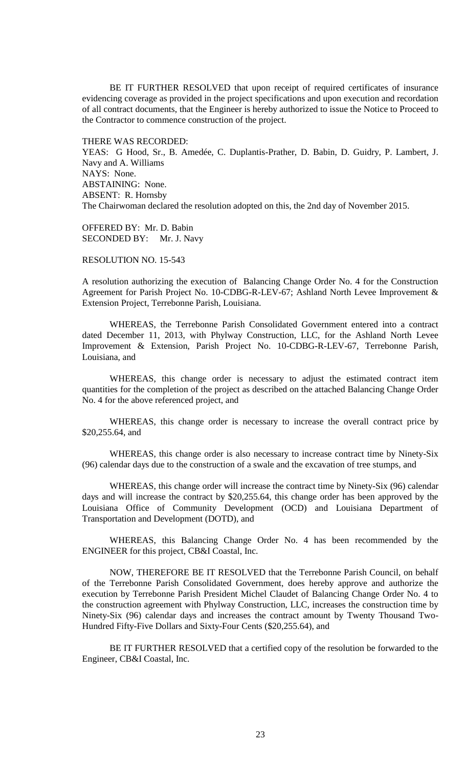BE IT FURTHER RESOLVED that upon receipt of required certificates of insurance evidencing coverage as provided in the project specifications and upon execution and recordation of all contract documents, that the Engineer is hereby authorized to issue the Notice to Proceed to the Contractor to commence construction of the project.

THERE WAS RECORDED: YEAS: G Hood, Sr., B. Amedée, C. Duplantis-Prather, D. Babin, D. Guidry, P. Lambert, J. Navy and A. Williams NAYS: None. ABSTAINING: None. ABSENT: R. Hornsby The Chairwoman declared the resolution adopted on this, the 2nd day of November 2015.

OFFERED BY: Mr. D. Babin SECONDED BY: Mr. J. Navy

RESOLUTION NO. 15-543

A resolution authorizing the execution of Balancing Change Order No. 4 for the Construction Agreement for Parish Project No. 10-CDBG-R-LEV-67; Ashland North Levee Improvement & Extension Project, Terrebonne Parish, Louisiana.

WHEREAS, the Terrebonne Parish Consolidated Government entered into a contract dated December 11, 2013, with Phylway Construction, LLC, for the Ashland North Levee Improvement & Extension, Parish Project No. 10-CDBG-R-LEV-67, Terrebonne Parish, Louisiana, and

WHEREAS, this change order is necessary to adjust the estimated contract item quantities for the completion of the project as described on the attached Balancing Change Order No. 4 for the above referenced project, and

WHEREAS, this change order is necessary to increase the overall contract price by \$20,255.64, and

WHEREAS, this change order is also necessary to increase contract time by Ninety-Six (96) calendar days due to the construction of a swale and the excavation of tree stumps, and

WHEREAS, this change order will increase the contract time by Ninety-Six (96) calendar days and will increase the contract by \$20,255.64, this change order has been approved by the Louisiana Office of Community Development (OCD) and Louisiana Department of Transportation and Development (DOTD), and

WHEREAS, this Balancing Change Order No. 4 has been recommended by the ENGINEER for this project, CB&I Coastal, Inc.

NOW, THEREFORE BE IT RESOLVED that the Terrebonne Parish Council, on behalf of the Terrebonne Parish Consolidated Government, does hereby approve and authorize the execution by Terrebonne Parish President Michel Claudet of Balancing Change Order No. 4 to the construction agreement with Phylway Construction, LLC, increases the construction time by Ninety-Six (96) calendar days and increases the contract amount by Twenty Thousand Two-Hundred Fifty-Five Dollars and Sixty-Four Cents (\$20,255.64), and

BE IT FURTHER RESOLVED that a certified copy of the resolution be forwarded to the Engineer, CB&I Coastal, Inc.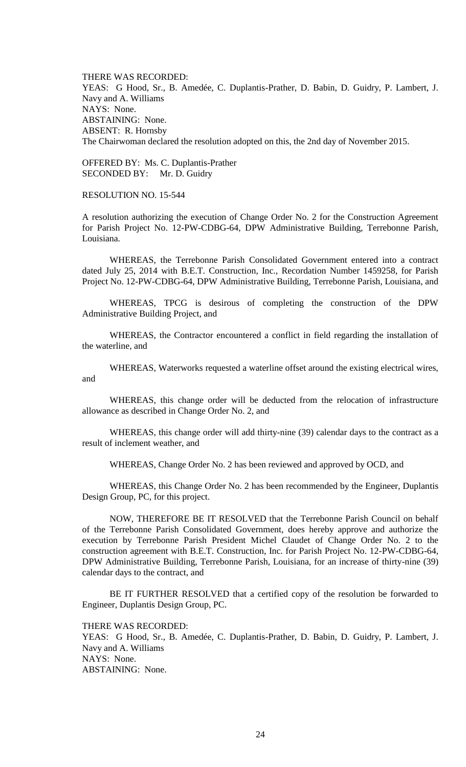THERE WAS RECORDED: YEAS: G Hood, Sr., B. Amedée, C. Duplantis-Prather, D. Babin, D. Guidry, P. Lambert, J. Navy and A. Williams NAYS: None. ABSTAINING: None. ABSENT: R. Hornsby The Chairwoman declared the resolution adopted on this, the 2nd day of November 2015.

OFFERED BY: Ms. C. Duplantis-Prather SECONDED BY: Mr. D. Guidry

RESOLUTION NO. 15-544

A resolution authorizing the execution of Change Order No. 2 for the Construction Agreement for Parish Project No. 12-PW-CDBG-64, DPW Administrative Building, Terrebonne Parish, Louisiana.

WHEREAS, the Terrebonne Parish Consolidated Government entered into a contract dated July 25, 2014 with B.E.T. Construction, Inc., Recordation Number 1459258, for Parish Project No. 12-PW-CDBG-64, DPW Administrative Building, Terrebonne Parish, Louisiana, and

WHEREAS, TPCG is desirous of completing the construction of the DPW Administrative Building Project, and

WHEREAS, the Contractor encountered a conflict in field regarding the installation of the waterline, and

WHEREAS, Waterworks requested a waterline offset around the existing electrical wires, and

WHEREAS, this change order will be deducted from the relocation of infrastructure allowance as described in Change Order No. 2, and

WHEREAS, this change order will add thirty-nine (39) calendar days to the contract as a result of inclement weather, and

WHEREAS, Change Order No. 2 has been reviewed and approved by OCD, and

WHEREAS, this Change Order No. 2 has been recommended by the Engineer, Duplantis Design Group, PC, for this project.

NOW, THEREFORE BE IT RESOLVED that the Terrebonne Parish Council on behalf of the Terrebonne Parish Consolidated Government, does hereby approve and authorize the execution by Terrebonne Parish President Michel Claudet of Change Order No. 2 to the construction agreement with B.E.T. Construction, Inc. for Parish Project No. 12-PW-CDBG-64, DPW Administrative Building, Terrebonne Parish, Louisiana, for an increase of thirty-nine (39) calendar days to the contract, and

BE IT FURTHER RESOLVED that a certified copy of the resolution be forwarded to Engineer, Duplantis Design Group, PC.

THERE WAS RECORDED:

YEAS: G Hood, Sr., B. Amedée, C. Duplantis-Prather, D. Babin, D. Guidry, P. Lambert, J. Navy and A. Williams NAYS: None. ABSTAINING: None.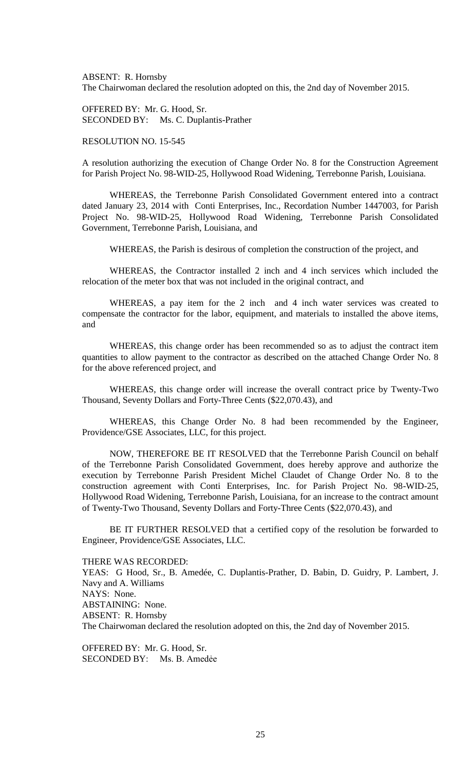ABSENT: R. Hornsby The Chairwoman declared the resolution adopted on this, the 2nd day of November 2015.

OFFERED BY: Mr. G. Hood, Sr. SECONDED BY: Ms. C. Duplantis-Prather

RESOLUTION NO. 15-545

A resolution authorizing the execution of Change Order No. 8 for the Construction Agreement for Parish Project No. 98-WID-25, Hollywood Road Widening, Terrebonne Parish, Louisiana.

WHEREAS, the Terrebonne Parish Consolidated Government entered into a contract dated January 23, 2014 with Conti Enterprises, Inc., Recordation Number 1447003, for Parish Project No. 98-WID-25, Hollywood Road Widening, Terrebonne Parish Consolidated Government, Terrebonne Parish, Louisiana, and

WHEREAS, the Parish is desirous of completion the construction of the project, and

WHEREAS, the Contractor installed 2 inch and 4 inch services which included the relocation of the meter box that was not included in the original contract, and

WHEREAS, a pay item for the 2 inch and 4 inch water services was created to compensate the contractor for the labor, equipment, and materials to installed the above items, and

WHEREAS, this change order has been recommended so as to adjust the contract item quantities to allow payment to the contractor as described on the attached Change Order No. 8 for the above referenced project, and

WHEREAS, this change order will increase the overall contract price by Twenty-Two Thousand, Seventy Dollars and Forty-Three Cents (\$22,070.43), and

WHEREAS, this Change Order No. 8 had been recommended by the Engineer, Providence/GSE Associates, LLC, for this project.

NOW, THEREFORE BE IT RESOLVED that the Terrebonne Parish Council on behalf of the Terrebonne Parish Consolidated Government, does hereby approve and authorize the execution by Terrebonne Parish President Michel Claudet of Change Order No. 8 to the construction agreement with Conti Enterprises, Inc. for Parish Project No. 98-WID-25, Hollywood Road Widening, Terrebonne Parish, Louisiana, for an increase to the contract amount of Twenty-Two Thousand, Seventy Dollars and Forty-Three Cents (\$22,070.43), and

BE IT FURTHER RESOLVED that a certified copy of the resolution be forwarded to Engineer, Providence/GSE Associates, LLC.

THERE WAS RECORDED:

YEAS: G Hood, Sr., B. Amedée, C. Duplantis-Prather, D. Babin, D. Guidry, P. Lambert, J. Navy and A. Williams NAYS: None. ABSTAINING: None. ABSENT: R. Hornsby The Chairwoman declared the resolution adopted on this, the 2nd day of November 2015.

OFFERED BY: Mr. G. Hood, Sr. SECONDED BY: Ms. B. Amedẻe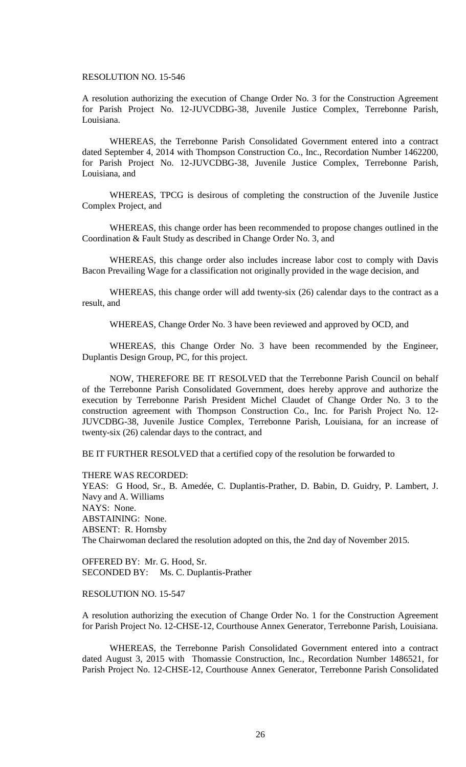### RESOLUTION NO. 15-546

A resolution authorizing the execution of Change Order No. 3 for the Construction Agreement for Parish Project No. 12-JUVCDBG-38, Juvenile Justice Complex, Terrebonne Parish, Louisiana.

WHEREAS, the Terrebonne Parish Consolidated Government entered into a contract dated September 4, 2014 with Thompson Construction Co., Inc., Recordation Number 1462200, for Parish Project No. 12-JUVCDBG-38, Juvenile Justice Complex, Terrebonne Parish, Louisiana, and

WHEREAS, TPCG is desirous of completing the construction of the Juvenile Justice Complex Project, and

WHEREAS, this change order has been recommended to propose changes outlined in the Coordination & Fault Study as described in Change Order No. 3, and

WHEREAS, this change order also includes increase labor cost to comply with Davis Bacon Prevailing Wage for a classification not originally provided in the wage decision, and

WHEREAS, this change order will add twenty-six (26) calendar days to the contract as a result, and

WHEREAS, Change Order No. 3 have been reviewed and approved by OCD, and

WHEREAS, this Change Order No. 3 have been recommended by the Engineer, Duplantis Design Group, PC, for this project.

NOW, THEREFORE BE IT RESOLVED that the Terrebonne Parish Council on behalf of the Terrebonne Parish Consolidated Government, does hereby approve and authorize the execution by Terrebonne Parish President Michel Claudet of Change Order No. 3 to the construction agreement with Thompson Construction Co., Inc. for Parish Project No. 12- JUVCDBG-38, Juvenile Justice Complex, Terrebonne Parish, Louisiana, for an increase of twenty-six (26) calendar days to the contract, and

BE IT FURTHER RESOLVED that a certified copy of the resolution be forwarded to

THERE WAS RECORDED:

YEAS: G Hood, Sr., B. Amedée, C. Duplantis-Prather, D. Babin, D. Guidry, P. Lambert, J. Navy and A. Williams NAYS: None. ABSTAINING: None. ABSENT: R. Hornsby The Chairwoman declared the resolution adopted on this, the 2nd day of November 2015.

OFFERED BY: Mr. G. Hood, Sr. SECONDED BY: Ms. C. Duplantis-Prather

# RESOLUTION NO. 15-547

A resolution authorizing the execution of Change Order No. 1 for the Construction Agreement for Parish Project No. 12-CHSE-12, Courthouse Annex Generator, Terrebonne Parish, Louisiana.

WHEREAS, the Terrebonne Parish Consolidated Government entered into a contract dated August 3, 2015 with Thomassie Construction, Inc., Recordation Number 1486521, for Parish Project No. 12-CHSE-12, Courthouse Annex Generator, Terrebonne Parish Consolidated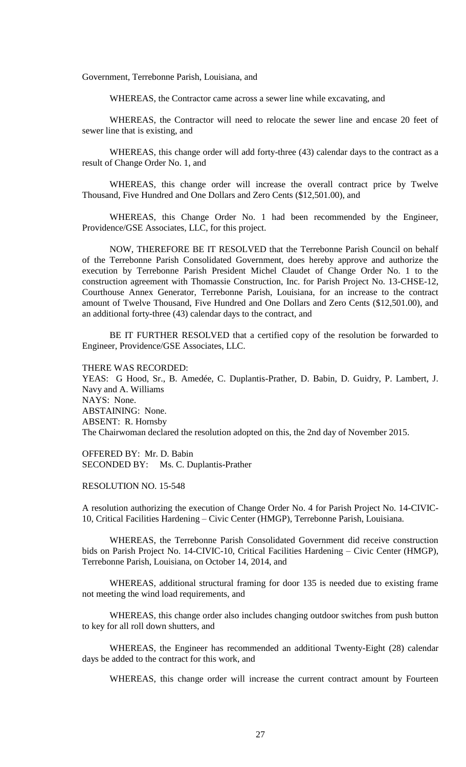Government, Terrebonne Parish, Louisiana, and

WHEREAS, the Contractor came across a sewer line while excavating, and

WHEREAS, the Contractor will need to relocate the sewer line and encase 20 feet of sewer line that is existing, and

WHEREAS, this change order will add forty-three (43) calendar days to the contract as a result of Change Order No. 1, and

WHEREAS, this change order will increase the overall contract price by Twelve Thousand, Five Hundred and One Dollars and Zero Cents (\$12,501.00), and

WHEREAS, this Change Order No. 1 had been recommended by the Engineer, Providence/GSE Associates, LLC, for this project.

NOW, THEREFORE BE IT RESOLVED that the Terrebonne Parish Council on behalf of the Terrebonne Parish Consolidated Government, does hereby approve and authorize the execution by Terrebonne Parish President Michel Claudet of Change Order No. 1 to the construction agreement with Thomassie Construction, Inc. for Parish Project No. 13-CHSE-12, Courthouse Annex Generator, Terrebonne Parish, Louisiana, for an increase to the contract amount of Twelve Thousand, Five Hundred and One Dollars and Zero Cents (\$12,501.00), and an additional forty-three (43) calendar days to the contract, and

BE IT FURTHER RESOLVED that a certified copy of the resolution be forwarded to Engineer, Providence/GSE Associates, LLC.

THERE WAS RECORDED:

YEAS: G Hood, Sr., B. Amedée, C. Duplantis-Prather, D. Babin, D. Guidry, P. Lambert, J. Navy and A. Williams NAYS: None. ABSTAINING: None. ABSENT: R. Hornsby The Chairwoman declared the resolution adopted on this, the 2nd day of November 2015.

OFFERED BY: Mr. D. Babin SECONDED BY: Ms. C. Duplantis-Prather

## RESOLUTION NO. 15-548

A resolution authorizing the execution of Change Order No. 4 for Parish Project No. 14-CIVIC-10, Critical Facilities Hardening – Civic Center (HMGP), Terrebonne Parish, Louisiana.

WHEREAS, the Terrebonne Parish Consolidated Government did receive construction bids on Parish Project No. 14-CIVIC-10, Critical Facilities Hardening – Civic Center (HMGP), Terrebonne Parish, Louisiana, on October 14, 2014, and

WHEREAS, additional structural framing for door 135 is needed due to existing frame not meeting the wind load requirements, and

WHEREAS, this change order also includes changing outdoor switches from push button to key for all roll down shutters, and

WHEREAS, the Engineer has recommended an additional Twenty-Eight (28) calendar days be added to the contract for this work, and

WHEREAS, this change order will increase the current contract amount by Fourteen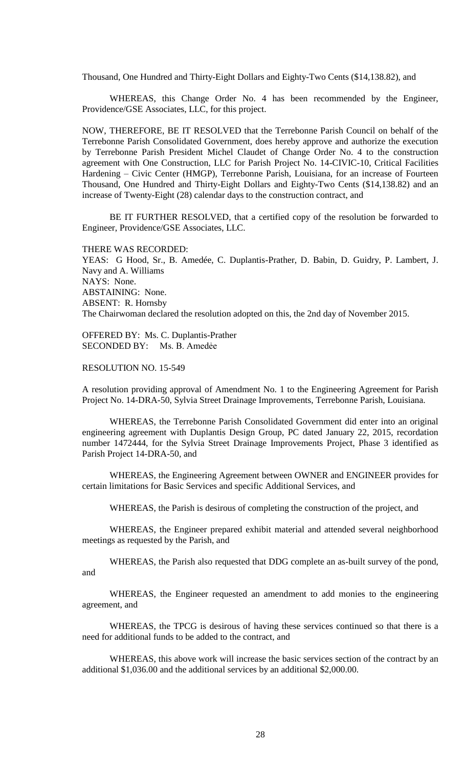Thousand, One Hundred and Thirty-Eight Dollars and Eighty-Two Cents (\$14,138.82), and

WHEREAS, this Change Order No. 4 has been recommended by the Engineer, Providence/GSE Associates, LLC, for this project.

NOW, THEREFORE, BE IT RESOLVED that the Terrebonne Parish Council on behalf of the Terrebonne Parish Consolidated Government, does hereby approve and authorize the execution by Terrebonne Parish President Michel Claudet of Change Order No. 4 to the construction agreement with One Construction, LLC for Parish Project No. 14-CIVIC-10, Critical Facilities Hardening – Civic Center (HMGP), Terrebonne Parish, Louisiana, for an increase of Fourteen Thousand, One Hundred and Thirty-Eight Dollars and Eighty-Two Cents (\$14,138.82) and an increase of Twenty-Eight (28) calendar days to the construction contract, and

BE IT FURTHER RESOLVED, that a certified copy of the resolution be forwarded to Engineer, Providence/GSE Associates, LLC.

THERE WAS RECORDED:

YEAS: G Hood, Sr., B. Amedée, C. Duplantis-Prather, D. Babin, D. Guidry, P. Lambert, J. Navy and A. Williams NAYS: None. ABSTAINING: None. ABSENT: R. Hornsby The Chairwoman declared the resolution adopted on this, the 2nd day of November 2015.

OFFERED BY: Ms. C. Duplantis-Prather SECONDED BY: Ms. B. Amedẻe

RESOLUTION NO. 15-549

A resolution providing approval of Amendment No. 1 to the Engineering Agreement for Parish Project No. 14-DRA-50, Sylvia Street Drainage Improvements, Terrebonne Parish, Louisiana.

WHEREAS, the Terrebonne Parish Consolidated Government did enter into an original engineering agreement with Duplantis Design Group, PC dated January 22, 2015, recordation number 1472444, for the Sylvia Street Drainage Improvements Project, Phase 3 identified as Parish Project 14-DRA-50, and

WHEREAS, the Engineering Agreement between OWNER and ENGINEER provides for certain limitations for Basic Services and specific Additional Services, and

WHEREAS, the Parish is desirous of completing the construction of the project, and

WHEREAS, the Engineer prepared exhibit material and attended several neighborhood meetings as requested by the Parish, and

WHEREAS, the Parish also requested that DDG complete an as-built survey of the pond, and

WHEREAS, the Engineer requested an amendment to add monies to the engineering agreement, and

WHEREAS, the TPCG is desirous of having these services continued so that there is a need for additional funds to be added to the contract, and

WHEREAS, this above work will increase the basic services section of the contract by an additional \$1,036.00 and the additional services by an additional \$2,000.00.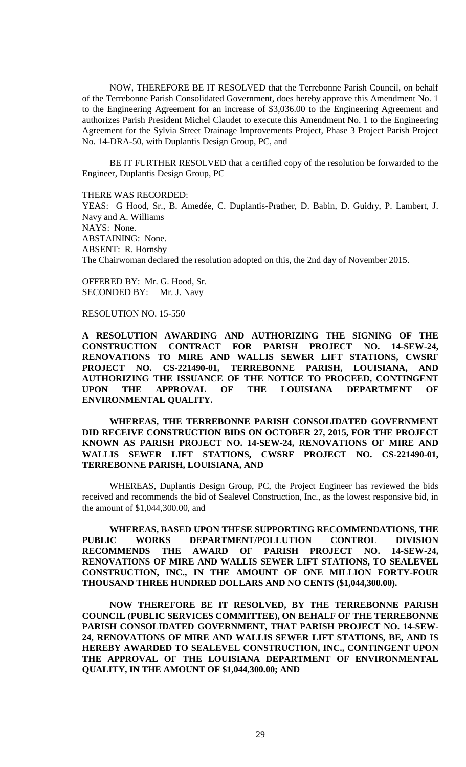NOW, THEREFORE BE IT RESOLVED that the Terrebonne Parish Council, on behalf of the Terrebonne Parish Consolidated Government, does hereby approve this Amendment No. 1 to the Engineering Agreement for an increase of \$3,036.00 to the Engineering Agreement and authorizes Parish President Michel Claudet to execute this Amendment No. 1 to the Engineering Agreement for the Sylvia Street Drainage Improvements Project, Phase 3 Project Parish Project No. 14-DRA-50, with Duplantis Design Group, PC, and

BE IT FURTHER RESOLVED that a certified copy of the resolution be forwarded to the Engineer, Duplantis Design Group, PC

THERE WAS RECORDED:

YEAS: G Hood, Sr., B. Amedée, C. Duplantis-Prather, D. Babin, D. Guidry, P. Lambert, J. Navy and A. Williams NAYS: None. ABSTAINING: None. ABSENT: R. Hornsby The Chairwoman declared the resolution adopted on this, the 2nd day of November 2015.

OFFERED BY: Mr. G. Hood, Sr. SECONDED BY: Mr. J. Navy

#### RESOLUTION NO. 15-550

**A RESOLUTION AWARDING AND AUTHORIZING THE SIGNING OF THE CONSTRUCTION CONTRACT FOR PARISH PROJECT NO. 14-SEW-24, RENOVATIONS TO MIRE AND WALLIS SEWER LIFT STATIONS, CWSRF PROJECT NO. CS-221490-01, TERREBONNE PARISH, LOUISIANA, AND AUTHORIZING THE ISSUANCE OF THE NOTICE TO PROCEED, CONTINGENT UPON THE APPROVAL OF THE LOUISIANA DEPARTMENT OF ENVIRONMENTAL QUALITY.**

**WHEREAS, THE TERREBONNE PARISH CONSOLIDATED GOVERNMENT DID RECEIVE CONSTRUCTION BIDS ON OCTOBER 27, 2015, FOR THE PROJECT KNOWN AS PARISH PROJECT NO. 14-SEW-24, RENOVATIONS OF MIRE AND WALLIS SEWER LIFT STATIONS, CWSRF PROJECT NO. CS-221490-01, TERREBONNE PARISH, LOUISIANA, AND**

WHEREAS, Duplantis Design Group, PC, the Project Engineer has reviewed the bids received and recommends the bid of Sealevel Construction, Inc., as the lowest responsive bid, in the amount of \$1,044,300.00, and

**WHEREAS, BASED UPON THESE SUPPORTING RECOMMENDATIONS, THE PUBLIC WORKS DEPARTMENT/POLLUTION CONTROL DIVISION RECOMMENDS THE AWARD OF PARISH PROJECT NO. 14-SEW-24, RENOVATIONS OF MIRE AND WALLIS SEWER LIFT STATIONS, TO SEALEVEL CONSTRUCTION, INC., IN THE AMOUNT OF ONE MILLION FORTY-FOUR THOUSAND THREE HUNDRED DOLLARS AND NO CENTS (\$1,044,300.00).**

**NOW THEREFORE BE IT RESOLVED, BY THE TERREBONNE PARISH COUNCIL (PUBLIC SERVICES COMMITTEE), ON BEHALF OF THE TERREBONNE PARISH CONSOLIDATED GOVERNMENT, THAT PARISH PROJECT NO. 14-SEW-24, RENOVATIONS OF MIRE AND WALLIS SEWER LIFT STATIONS, BE, AND IS HEREBY AWARDED TO SEALEVEL CONSTRUCTION, INC., CONTINGENT UPON THE APPROVAL OF THE LOUISIANA DEPARTMENT OF ENVIRONMENTAL QUALITY, IN THE AMOUNT OF \$1,044,300.00; AND**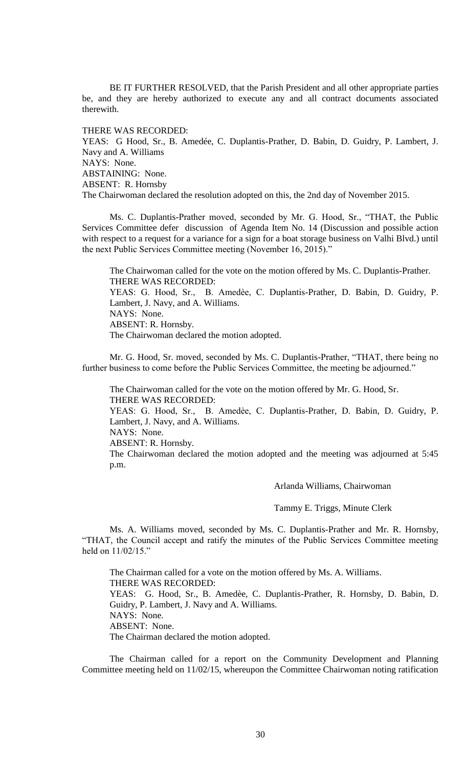BE IT FURTHER RESOLVED, that the Parish President and all other appropriate parties be, and they are hereby authorized to execute any and all contract documents associated therewith.

### THERE WAS RECORDED:

YEAS: G Hood, Sr., B. Amedée, C. Duplantis-Prather, D. Babin, D. Guidry, P. Lambert, J. Navy and A. Williams NAYS: None. ABSTAINING: None. ABSENT: R. Hornsby The Chairwoman declared the resolution adopted on this, the 2nd day of November 2015.

Ms. C. Duplantis-Prather moved, seconded by Mr. G. Hood, Sr., "THAT, the Public Services Committee defer discussion of Agenda Item No. 14 (Discussion and possible action with respect to a request for a variance for a sign for a boat storage business on Valhi Blvd.) until the next Public Services Committee meeting (November 16, 2015)."

The Chairwoman called for the vote on the motion offered by Ms. C. Duplantis-Prather. THERE WAS RECORDED: YEAS: G. Hood, Sr., B. Amedѐe, C. Duplantis-Prather, D. Babin, D. Guidry, P. Lambert, J. Navy, and A. Williams. NAYS: None. ABSENT: R. Hornsby. The Chairwoman declared the motion adopted.

Mr. G. Hood, Sr. moved, seconded by Ms. C. Duplantis-Prather, "THAT, there being no further business to come before the Public Services Committee, the meeting be adjourned."

The Chairwoman called for the vote on the motion offered by Mr. G. Hood, Sr. THERE WAS RECORDED:

YEAS: G. Hood, Sr., B. Amedèe, C. Duplantis-Prather, D. Babin, D. Guidry, P. Lambert, J. Navy, and A. Williams.

NAYS: None.

ABSENT: R. Hornsby.

The Chairwoman declared the motion adopted and the meeting was adjourned at 5:45 p.m.

Arlanda Williams, Chairwoman

Tammy E. Triggs, Minute Clerk

Ms. A. Williams moved, seconded by Ms. C. Duplantis-Prather and Mr. R. Hornsby, "THAT, the Council accept and ratify the minutes of the Public Services Committee meeting held on 11/02/15."

The Chairman called for a vote on the motion offered by Ms. A. Williams. THERE WAS RECORDED: YEAS: G. Hood, Sr., B. Amedèe, C. Duplantis-Prather, R. Hornsby, D. Babin, D. Guidry, P. Lambert, J. Navy and A. Williams. NAYS: None. ABSENT: None. The Chairman declared the motion adopted.

The Chairman called for a report on the Community Development and Planning Committee meeting held on 11/02/15, whereupon the Committee Chairwoman noting ratification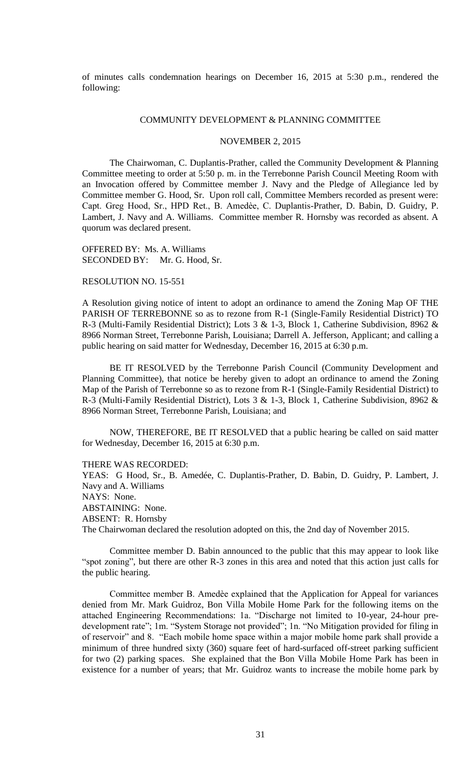of minutes calls condemnation hearings on December 16, 2015 at 5:30 p.m., rendered the following:

### COMMUNITY DEVELOPMENT & PLANNING COMMITTEE

## NOVEMBER 2, 2015

The Chairwoman, C. Duplantis-Prather, called the Community Development & Planning Committee meeting to order at 5:50 p. m. in the Terrebonne Parish Council Meeting Room with an Invocation offered by Committee member J. Navy and the Pledge of Allegiance led by Committee member G. Hood, Sr. Upon roll call, Committee Members recorded as present were: Capt. Greg Hood, Sr., HPD Ret., B. Amedѐe, C. Duplantis-Prather, D. Babin, D. Guidry, P. Lambert, J. Navy and A. Williams. Committee member R. Hornsby was recorded as absent. A quorum was declared present.

OFFERED BY: Ms. A. Williams SECONDED BY: Mr. G. Hood, Sr.

#### RESOLUTION NO. 15-551

A Resolution giving notice of intent to adopt an ordinance to amend the Zoning Map OF THE PARISH OF TERREBONNE so as to rezone from R-1 (Single-Family Residential District) TO R-3 (Multi-Family Residential District); Lots 3 & 1-3, Block 1, Catherine Subdivision, 8962 & 8966 Norman Street, Terrebonne Parish, Louisiana; Darrell A. Jefferson, Applicant; and calling a public hearing on said matter for Wednesday, December 16, 2015 at 6:30 p.m.

BE IT RESOLVED by the Terrebonne Parish Council (Community Development and Planning Committee), that notice be hereby given to adopt an ordinance to amend the Zoning Map of the Parish of Terrebonne so as to rezone from R-1 (Single-Family Residential District) to R-3 (Multi-Family Residential District), Lots 3 & 1-3, Block 1, Catherine Subdivision, 8962 & 8966 Norman Street, Terrebonne Parish, Louisiana; and

NOW, THEREFORE, BE IT RESOLVED that a public hearing be called on said matter for Wednesday, December 16, 2015 at 6:30 p.m.

#### THERE WAS RECORDED:

YEAS: G Hood, Sr., B. Amedée, C. Duplantis-Prather, D. Babin, D. Guidry, P. Lambert, J. Navy and A. Williams NAYS: None. ABSTAINING: None. ABSENT: R. Hornsby The Chairwoman declared the resolution adopted on this, the 2nd day of November 2015.

Committee member D. Babin announced to the public that this may appear to look like "spot zoning", but there are other R-3 zones in this area and noted that this action just calls for the public hearing.

Committee member B. Amedѐe explained that the Application for Appeal for variances denied from Mr. Mark Guidroz, Bon Villa Mobile Home Park for the following items on the attached Engineering Recommendations: 1a. "Discharge not limited to 10-year, 24-hour predevelopment rate"; 1m. "System Storage not provided"; 1n. "No Mitigation provided for filing in of reservoir" and 8. "Each mobile home space within a major mobile home park shall provide a minimum of three hundred sixty (360) square feet of hard-surfaced off-street parking sufficient for two (2) parking spaces. She explained that the Bon Villa Mobile Home Park has been in existence for a number of years; that Mr. Guidroz wants to increase the mobile home park by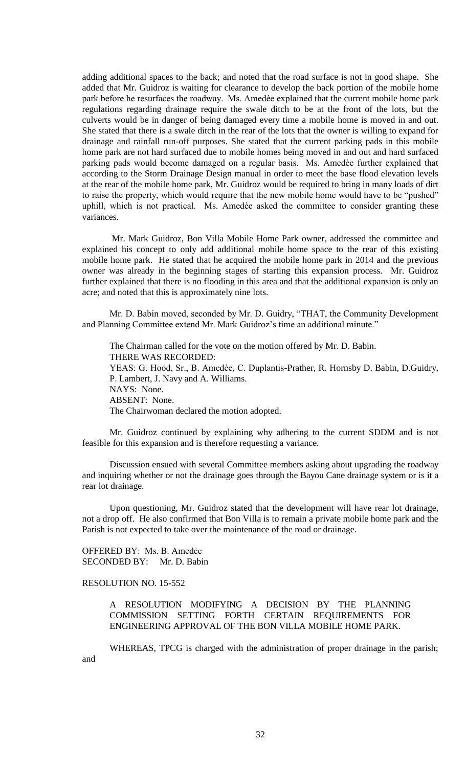adding additional spaces to the back; and noted that the road surface is not in good shape. She added that Mr. Guidroz is waiting for clearance to develop the back portion of the mobile home park before he resurfaces the roadway. Ms. Amedèe explained that the current mobile home park regulations regarding drainage require the swale ditch to be at the front of the lots, but the culverts would be in danger of being damaged every time a mobile home is moved in and out. She stated that there is a swale ditch in the rear of the lots that the owner is willing to expand for drainage and rainfall run-off purposes. She stated that the current parking pads in this mobile home park are not hard surfaced due to mobile homes being moved in and out and hard surfaced parking pads would become damaged on a regular basis. Ms. Amedèe further explained that according to the Storm Drainage Design manual in order to meet the base flood elevation levels at the rear of the mobile home park, Mr. Guidroz would be required to bring in many loads of dirt to raise the property, which would require that the new mobile home would have to be "pushed" uphill, which is not practical. Ms. Amedèe asked the committee to consider granting these variances.

Mr. Mark Guidroz, Bon Villa Mobile Home Park owner, addressed the committee and explained his concept to only add additional mobile home space to the rear of this existing mobile home park. He stated that he acquired the mobile home park in 2014 and the previous owner was already in the beginning stages of starting this expansion process. Mr. Guidroz further explained that there is no flooding in this area and that the additional expansion is only an acre; and noted that this is approximately nine lots.

Mr. D. Babin moved, seconded by Mr. D. Guidry, "THAT, the Community Development and Planning Committee extend Mr. Mark Guidroz's time an additional minute."

The Chairman called for the vote on the motion offered by Mr. D. Babin. THERE WAS RECORDED: YEAS: G. Hood, Sr., B. Amedèe, C. Duplantis-Prather, R. Hornsby D. Babin, D.Guidry, P. Lambert, J. Navy and A. Williams. NAYS: None. ABSENT: None. The Chairwoman declared the motion adopted.

Mr. Guidroz continued by explaining why adhering to the current SDDM and is not feasible for this expansion and is therefore requesting a variance.

Discussion ensued with several Committee members asking about upgrading the roadway and inquiring whether or not the drainage goes through the Bayou Cane drainage system or is it a rear lot drainage.

Upon questioning, Mr. Guidroz stated that the development will have rear lot drainage, not a drop off. He also confirmed that Bon Villa is to remain a private mobile home park and the Parish is not expected to take over the maintenance of the road or drainage.

OFFERED BY: Ms. B. Amedẻe SECONDED BY: Mr. D. Babin

## RESOLUTION NO. 15-552

A RESOLUTION MODIFYING A DECISION BY THE PLANNING COMMISSION SETTING FORTH CERTAIN REQUIREMENTS FOR ENGINEERING APPROVAL OF THE BON VILLA MOBILE HOME PARK.

WHEREAS, TPCG is charged with the administration of proper drainage in the parish; and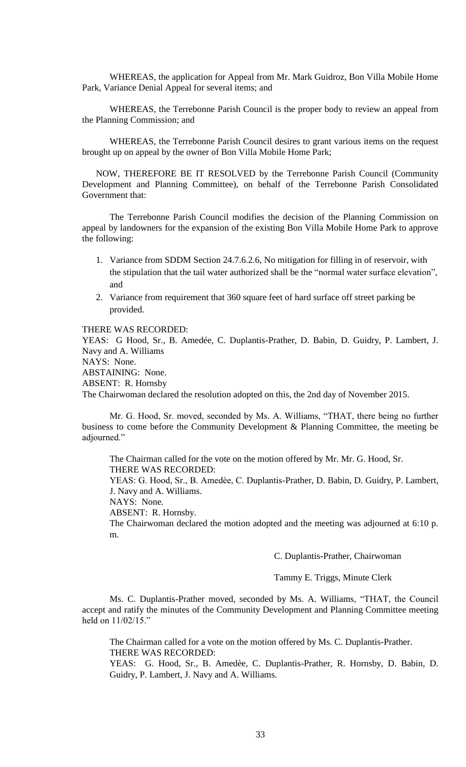WHEREAS, the application for Appeal from Mr. Mark Guidroz, Bon Villa Mobile Home Park, Variance Denial Appeal for several items; and

WHEREAS, the Terrebonne Parish Council is the proper body to review an appeal from the Planning Commission; and

WHEREAS, the Terrebonne Parish Council desires to grant various items on the request brought up on appeal by the owner of Bon Villa Mobile Home Park;

NOW, THEREFORE BE IT RESOLVED by the Terrebonne Parish Council (Community Development and Planning Committee), on behalf of the Terrebonne Parish Consolidated Government that:

The Terrebonne Parish Council modifies the decision of the Planning Commission on appeal by landowners for the expansion of the existing Bon Villa Mobile Home Park to approve the following:

- 1. Variance from SDDM Section 24.7.6.2.6, No mitigation for filling in of reservoir, with the stipulation that the tail water authorized shall be the "normal water surface elevation", and
- 2. Variance from requirement that 360 square feet of hard surface off street parking be provided.

#### THERE WAS RECORDED:

YEAS: G Hood, Sr., B. Amedée, C. Duplantis-Prather, D. Babin, D. Guidry, P. Lambert, J. Navy and A. Williams NAYS: None.

ABSTAINING: None. ABSENT: R. Hornsby

The Chairwoman declared the resolution adopted on this, the 2nd day of November 2015.

Mr. G. Hood, Sr. moved, seconded by Ms. A. Williams, "THAT, there being no further business to come before the Community Development & Planning Committee, the meeting be adjourned."

The Chairman called for the vote on the motion offered by Mr. Mr. G. Hood, Sr. THERE WAS RECORDED: YEAS: G. Hood, Sr., B. Amedѐe, C. Duplantis-Prather, D. Babin, D. Guidry, P. Lambert, J. Navy and A. Williams. NAYS: None. ABSENT: R. Hornsby. The Chairwoman declared the motion adopted and the meeting was adjourned at 6:10 p. m.

C. Duplantis-Prather, Chairwoman

Tammy E. Triggs, Minute Clerk

Ms. C. Duplantis-Prather moved, seconded by Ms. A. Williams, "THAT, the Council accept and ratify the minutes of the Community Development and Planning Committee meeting held on 11/02/15."

The Chairman called for a vote on the motion offered by Ms. C. Duplantis-Prather. THERE WAS RECORDED:

YEAS: G. Hood, Sr., B. Amedèe, C. Duplantis-Prather, R. Hornsby, D. Babin, D. Guidry, P. Lambert, J. Navy and A. Williams.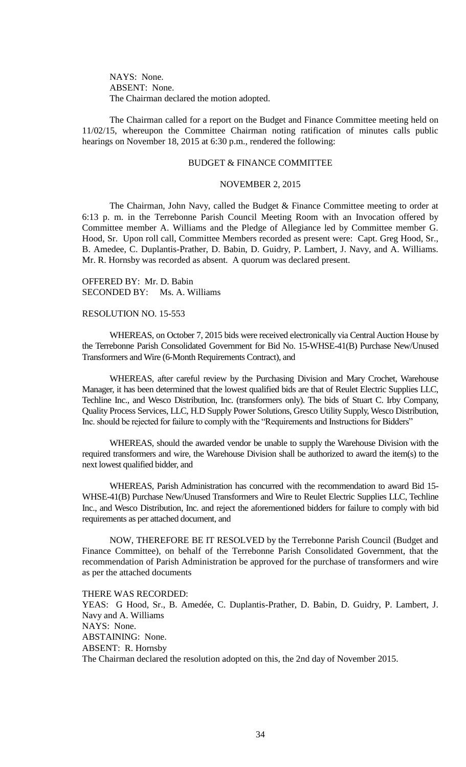NAYS: None. ABSENT: None. The Chairman declared the motion adopted.

The Chairman called for a report on the Budget and Finance Committee meeting held on 11/02/15, whereupon the Committee Chairman noting ratification of minutes calls public hearings on November 18, 2015 at 6:30 p.m., rendered the following:

## BUDGET & FINANCE COMMITTEE

#### NOVEMBER 2, 2015

The Chairman, John Navy, called the Budget & Finance Committee meeting to order at 6:13 p. m. in the Terrebonne Parish Council Meeting Room with an Invocation offered by Committee member A. Williams and the Pledge of Allegiance led by Committee member G. Hood, Sr. Upon roll call, Committee Members recorded as present were: Capt. Greg Hood, Sr., B. Amedee, C. Duplantis-Prather, D. Babin, D. Guidry, P. Lambert, J. Navy, and A. Williams. Mr. R. Hornsby was recorded as absent. A quorum was declared present.

OFFERED BY: Mr. D. Babin SECONDED BY: Ms. A. Williams

#### RESOLUTION NO. 15-553

WHEREAS, on October 7, 2015 bids were received electronically via Central Auction House by the Terrebonne Parish Consolidated Government for Bid No. 15-WHSE-41(B) Purchase New/Unused Transformers and Wire (6-Month Requirements Contract), and

WHEREAS, after careful review by the Purchasing Division and Mary Crochet, Warehouse Manager, it has been determined that the lowest qualified bids are that of Reulet Electric Supplies LLC, Techline Inc., and Wesco Distribution, Inc. (transformers only). The bids of Stuart C. Irby Company, Quality Process Services, LLC, H.D Supply Power Solutions, Gresco Utility Supply, Wesco Distribution, Inc. should be rejected for failure to comply with the "Requirements and Instructions for Bidders"

WHEREAS, should the awarded vendor be unable to supply the Warehouse Division with the required transformers and wire, the Warehouse Division shall be authorized to award the item(s) to the next lowest qualified bidder, and

WHEREAS, Parish Administration has concurred with the recommendation to award Bid 15- WHSE-41(B) Purchase New/Unused Transformers and Wire to Reulet Electric Supplies LLC, Techline Inc., and Wesco Distribution, Inc. and reject the aforementioned bidders for failure to comply with bid requirements as per attached document, and

NOW, THEREFORE BE IT RESOLVED by the Terrebonne Parish Council (Budget and Finance Committee), on behalf of the Terrebonne Parish Consolidated Government, that the recommendation of Parish Administration be approved for the purchase of transformers and wire as per the attached documents

THERE WAS RECORDED: YEAS: G Hood, Sr., B. Amedée, C. Duplantis-Prather, D. Babin, D. Guidry, P. Lambert, J. Navy and A. Williams NAYS: None. ABSTAINING: None. ABSENT: R. Hornsby The Chairman declared the resolution adopted on this, the 2nd day of November 2015.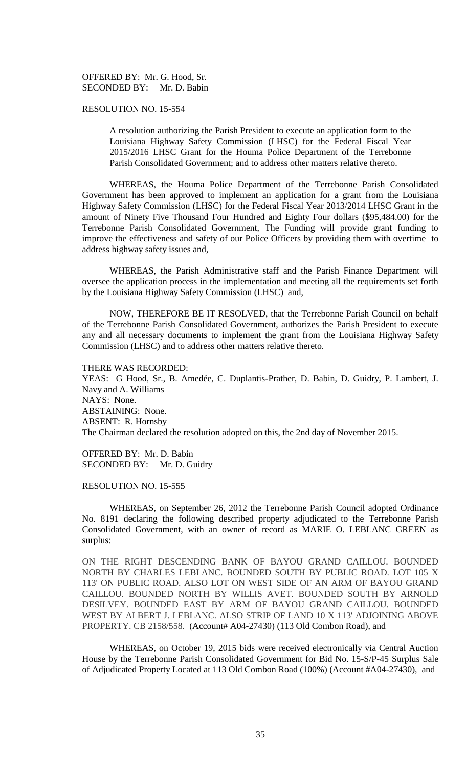OFFERED BY: Mr. G. Hood, Sr. SECONDED BY: Mr. D. Babin

## RESOLUTION NO. 15-554

A resolution authorizing the Parish President to execute an application form to the Louisiana Highway Safety Commission (LHSC) for the Federal Fiscal Year 2015/2016 LHSC Grant for the Houma Police Department of the Terrebonne Parish Consolidated Government; and to address other matters relative thereto.

WHEREAS, the Houma Police Department of the Terrebonne Parish Consolidated Government has been approved to implement an application for a grant from the Louisiana Highway Safety Commission (LHSC) for the Federal Fiscal Year 2013/2014 LHSC Grant in the amount of Ninety Five Thousand Four Hundred and Eighty Four dollars (\$95,484.00) for the Terrebonne Parish Consolidated Government, The Funding will provide grant funding to improve the effectiveness and safety of our Police Officers by providing them with overtime to address highway safety issues and,

WHEREAS, the Parish Administrative staff and the Parish Finance Department will oversee the application process in the implementation and meeting all the requirements set forth by the Louisiana Highway Safety Commission (LHSC) and,

NOW, THEREFORE BE IT RESOLVED, that the Terrebonne Parish Council on behalf of the Terrebonne Parish Consolidated Government, authorizes the Parish President to execute any and all necessary documents to implement the grant from the Louisiana Highway Safety Commission (LHSC) and to address other matters relative thereto.

THERE WAS RECORDED:

YEAS: G Hood, Sr., B. Amedée, C. Duplantis-Prather, D. Babin, D. Guidry, P. Lambert, J. Navy and A. Williams NAYS: None. ABSTAINING: None. ABSENT: R. Hornsby The Chairman declared the resolution adopted on this, the 2nd day of November 2015.

OFFERED BY: Mr. D. Babin SECONDED BY: Mr. D. Guidry

#### RESOLUTION NO. 15-555

WHEREAS, on September 26, 2012 the Terrebonne Parish Council adopted Ordinance No. 8191 declaring the following described property adjudicated to the Terrebonne Parish Consolidated Government, with an owner of record as MARIE O. LEBLANC GREEN as surplus:

ON THE RIGHT DESCENDING BANK OF BAYOU GRAND CAILLOU. BOUNDED NORTH BY CHARLES LEBLANC. BOUNDED SOUTH BY PUBLIC ROAD. LOT 105 X 113' ON PUBLIC ROAD. ALSO LOT ON WEST SIDE OF AN ARM OF BAYOU GRAND CAILLOU. BOUNDED NORTH BY WILLIS AVET. BOUNDED SOUTH BY ARNOLD DESILVEY. BOUNDED EAST BY ARM OF BAYOU GRAND CAILLOU. BOUNDED WEST BY ALBERT J. LEBLANC. ALSO STRIP OF LAND 10 X 113' ADJOINING ABOVE PROPERTY. CB 2158/558. (Account# A04-27430) (113 Old Combon Road), and

WHEREAS, on October 19, 2015 bids were received electronically via Central Auction House by the Terrebonne Parish Consolidated Government for Bid No. 15-S/P-45 Surplus Sale of Adjudicated Property Located at 113 Old Combon Road (100%) (Account #A04-27430), and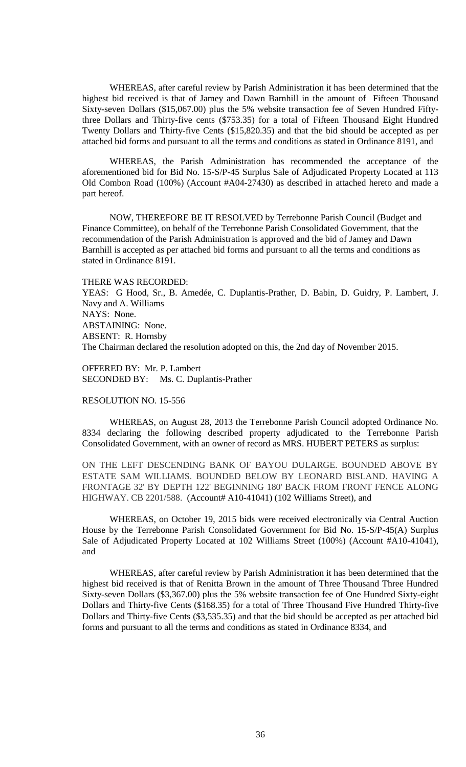WHEREAS, after careful review by Parish Administration it has been determined that the highest bid received is that of Jamey and Dawn Barnhill in the amount of Fifteen Thousand Sixty-seven Dollars (\$15,067.00) plus the 5% website transaction fee of Seven Hundred Fiftythree Dollars and Thirty-five cents (\$753.35) for a total of Fifteen Thousand Eight Hundred Twenty Dollars and Thirty-five Cents (\$15,820.35) and that the bid should be accepted as per attached bid forms and pursuant to all the terms and conditions as stated in Ordinance 8191, and

WHEREAS, the Parish Administration has recommended the acceptance of the aforementioned bid for Bid No. 15-S/P-45 Surplus Sale of Adjudicated Property Located at 113 Old Combon Road (100%) (Account #A04-27430) as described in attached hereto and made a part hereof.

NOW, THEREFORE BE IT RESOLVED by Terrebonne Parish Council (Budget and Finance Committee), on behalf of the Terrebonne Parish Consolidated Government, that the recommendation of the Parish Administration is approved and the bid of Jamey and Dawn Barnhill is accepted as per attached bid forms and pursuant to all the terms and conditions as stated in Ordinance 8191.

#### THERE WAS RECORDED:

YEAS: G Hood, Sr., B. Amedée, C. Duplantis-Prather, D. Babin, D. Guidry, P. Lambert, J. Navy and A. Williams NAYS: None. ABSTAINING: None. ABSENT: R. Hornsby The Chairman declared the resolution adopted on this, the 2nd day of November 2015.

OFFERED BY: Mr. P. Lambert SECONDED BY: Ms. C. Duplantis-Prather

#### RESOLUTION NO. 15-556

WHEREAS, on August 28, 2013 the Terrebonne Parish Council adopted Ordinance No. 8334 declaring the following described property adjudicated to the Terrebonne Parish Consolidated Government, with an owner of record as MRS. HUBERT PETERS as surplus:

ON THE LEFT DESCENDING BANK OF BAYOU DULARGE. BOUNDED ABOVE BY ESTATE SAM WILLIAMS. BOUNDED BELOW BY LEONARD BISLAND. HAVING A FRONTAGE 32' BY DEPTH 122' BEGINNING 180' BACK FROM FRONT FENCE ALONG HIGHWAY. CB 2201/588. (Account# A10-41041) (102 Williams Street), and

WHEREAS, on October 19, 2015 bids were received electronically via Central Auction House by the Terrebonne Parish Consolidated Government for Bid No. 15-S/P-45(A) Surplus Sale of Adjudicated Property Located at 102 Williams Street (100%) (Account #A10-41041), and

WHEREAS, after careful review by Parish Administration it has been determined that the highest bid received is that of Renitta Brown in the amount of Three Thousand Three Hundred Sixty-seven Dollars (\$3,367.00) plus the 5% website transaction fee of One Hundred Sixty-eight Dollars and Thirty-five Cents (\$168.35) for a total of Three Thousand Five Hundred Thirty-five Dollars and Thirty-five Cents (\$3,535.35) and that the bid should be accepted as per attached bid forms and pursuant to all the terms and conditions as stated in Ordinance 8334, and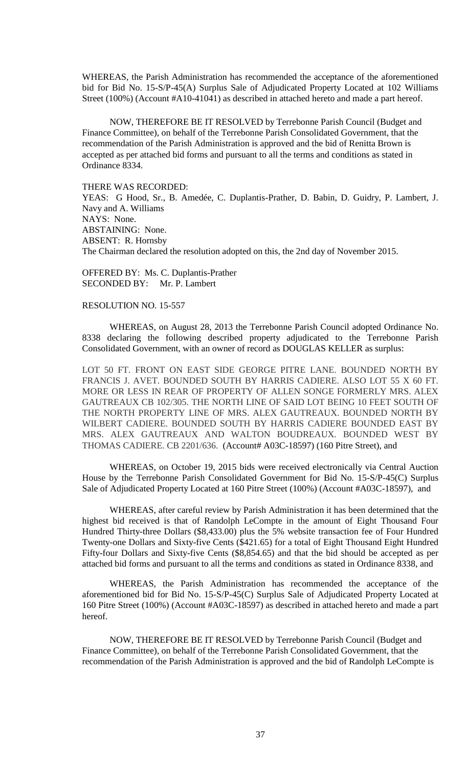WHEREAS, the Parish Administration has recommended the acceptance of the aforementioned bid for Bid No. 15-S/P-45(A) Surplus Sale of Adjudicated Property Located at 102 Williams Street (100%) (Account #A10-41041) as described in attached hereto and made a part hereof.

NOW, THEREFORE BE IT RESOLVED by Terrebonne Parish Council (Budget and Finance Committee), on behalf of the Terrebonne Parish Consolidated Government, that the recommendation of the Parish Administration is approved and the bid of Renitta Brown is accepted as per attached bid forms and pursuant to all the terms and conditions as stated in Ordinance 8334.

THERE WAS RECORDED:

YEAS: G Hood, Sr., B. Amedée, C. Duplantis-Prather, D. Babin, D. Guidry, P. Lambert, J. Navy and A. Williams NAYS: None. ABSTAINING: None. ABSENT: R. Hornsby The Chairman declared the resolution adopted on this, the 2nd day of November 2015.

OFFERED BY: Ms. C. Duplantis-Prather SECONDED BY: Mr. P. Lambert

# RESOLUTION NO. 15-557

WHEREAS, on August 28, 2013 the Terrebonne Parish Council adopted Ordinance No. 8338 declaring the following described property adjudicated to the Terrebonne Parish Consolidated Government, with an owner of record as DOUGLAS KELLER as surplus:

LOT 50 FT. FRONT ON EAST SIDE GEORGE PITRE LANE. BOUNDED NORTH BY FRANCIS J. AVET. BOUNDED SOUTH BY HARRIS CADIERE. ALSO LOT 55 X 60 FT. MORE OR LESS IN REAR OF PROPERTY OF ALLEN SONGE FORMERLY MRS. ALEX GAUTREAUX CB 102/305. THE NORTH LINE OF SAID LOT BEING 10 FEET SOUTH OF THE NORTH PROPERTY LINE OF MRS. ALEX GAUTREAUX. BOUNDED NORTH BY WILBERT CADIERE. BOUNDED SOUTH BY HARRIS CADIERE BOUNDED EAST BY MRS. ALEX GAUTREAUX AND WALTON BOUDREAUX. BOUNDED WEST BY THOMAS CADIERE. CB 2201/636. (Account# A03C-18597) (160 Pitre Street), and

WHEREAS, on October 19, 2015 bids were received electronically via Central Auction House by the Terrebonne Parish Consolidated Government for Bid No. 15-S/P-45(C) Surplus Sale of Adjudicated Property Located at 160 Pitre Street (100%) (Account #A03C-18597), and

WHEREAS, after careful review by Parish Administration it has been determined that the highest bid received is that of Randolph LeCompte in the amount of Eight Thousand Four Hundred Thirty-three Dollars (\$8,433.00) plus the 5% website transaction fee of Four Hundred Twenty-one Dollars and Sixty-five Cents (\$421.65) for a total of Eight Thousand Eight Hundred Fifty-four Dollars and Sixty-five Cents (\$8,854.65) and that the bid should be accepted as per attached bid forms and pursuant to all the terms and conditions as stated in Ordinance 8338, and

WHEREAS, the Parish Administration has recommended the acceptance of the aforementioned bid for Bid No. 15-S/P-45(C) Surplus Sale of Adjudicated Property Located at 160 Pitre Street (100%) (Account #A03C-18597) as described in attached hereto and made a part hereof.

NOW, THEREFORE BE IT RESOLVED by Terrebonne Parish Council (Budget and Finance Committee), on behalf of the Terrebonne Parish Consolidated Government, that the recommendation of the Parish Administration is approved and the bid of Randolph LeCompte is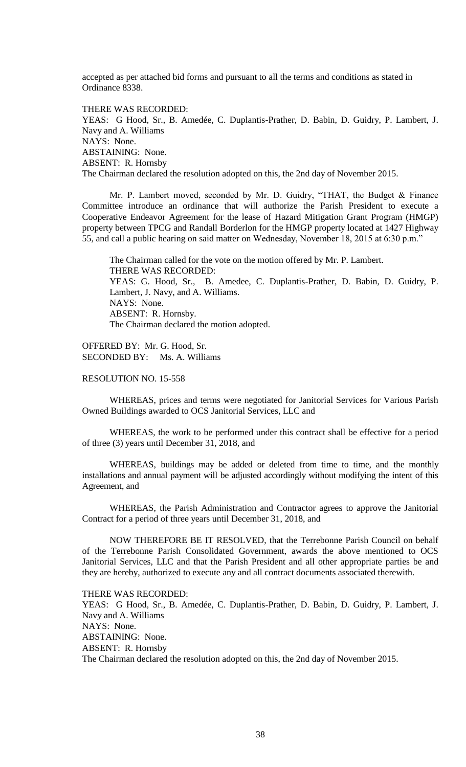accepted as per attached bid forms and pursuant to all the terms and conditions as stated in Ordinance 8338.

THERE WAS RECORDED: YEAS: G Hood, Sr., B. Amedée, C. Duplantis-Prather, D. Babin, D. Guidry, P. Lambert, J. Navy and A. Williams NAYS: None. ABSTAINING: None. ABSENT: R. Hornsby The Chairman declared the resolution adopted on this, the 2nd day of November 2015.

Mr. P. Lambert moved, seconded by Mr. D. Guidry, "THAT, the Budget & Finance Committee introduce an ordinance that will authorize the Parish President to execute a Cooperative Endeavor Agreement for the lease of Hazard Mitigation Grant Program (HMGP) property between TPCG and Randall Borderlon for the HMGP property located at 1427 Highway 55, and call a public hearing on said matter on Wednesday, November 18, 2015 at 6:30 p.m."

The Chairman called for the vote on the motion offered by Mr. P. Lambert. THERE WAS RECORDED: YEAS: G. Hood, Sr., B. Amedee, C. Duplantis-Prather, D. Babin, D. Guidry, P. Lambert, J. Navy, and A. Williams. NAYS: None. ABSENT: R. Hornsby. The Chairman declared the motion adopted.

OFFERED BY: Mr. G. Hood, Sr. SECONDED BY: Ms. A. Williams

# RESOLUTION NO. 15-558

WHEREAS, prices and terms were negotiated for Janitorial Services for Various Parish Owned Buildings awarded to OCS Janitorial Services, LLC and

WHEREAS, the work to be performed under this contract shall be effective for a period of three (3) years until December 31, 2018, and

WHEREAS, buildings may be added or deleted from time to time, and the monthly installations and annual payment will be adjusted accordingly without modifying the intent of this Agreement, and

WHEREAS, the Parish Administration and Contractor agrees to approve the Janitorial Contract for a period of three years until December 31, 2018, and

NOW THEREFORE BE IT RESOLVED, that the Terrebonne Parish Council on behalf of the Terrebonne Parish Consolidated Government, awards the above mentioned to OCS Janitorial Services, LLC and that the Parish President and all other appropriate parties be and they are hereby, authorized to execute any and all contract documents associated therewith.

THERE WAS RECORDED: YEAS: G Hood, Sr., B. Amedée, C. Duplantis-Prather, D. Babin, D. Guidry, P. Lambert, J. Navy and A. Williams NAYS: None. ABSTAINING: None. ABSENT: R. Hornsby The Chairman declared the resolution adopted on this, the 2nd day of November 2015.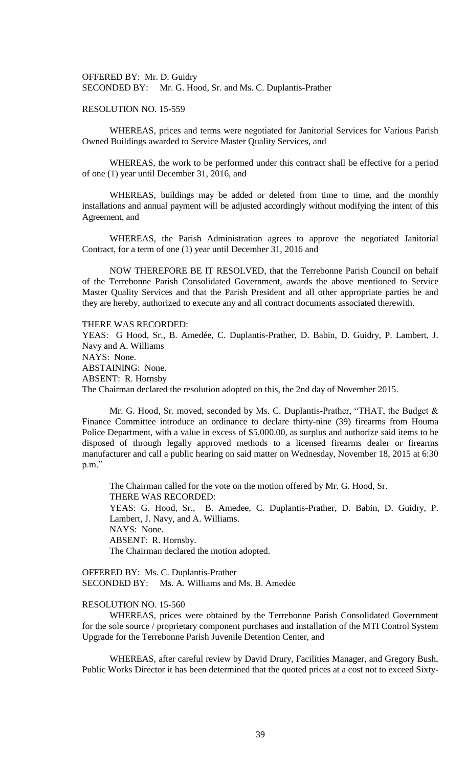OFFERED BY: Mr. D. Guidry SECONDED BY: Mr. G. Hood, Sr. and Ms. C. Duplantis-Prather

## RESOLUTION NO. 15-559

WHEREAS, prices and terms were negotiated for Janitorial Services for Various Parish Owned Buildings awarded to Service Master Quality Services, and

WHEREAS, the work to be performed under this contract shall be effective for a period of one (1) year until December 31, 2016, and

WHEREAS, buildings may be added or deleted from time to time, and the monthly installations and annual payment will be adjusted accordingly without modifying the intent of this Agreement, and

WHEREAS, the Parish Administration agrees to approve the negotiated Janitorial Contract, for a term of one (1) year until December 31, 2016 and

NOW THEREFORE BE IT RESOLVED, that the Terrebonne Parish Council on behalf of the Terrebonne Parish Consolidated Government, awards the above mentioned to Service Master Quality Services and that the Parish President and all other appropriate parties be and they are hereby, authorized to execute any and all contract documents associated therewith.

THERE WAS RECORDED:

YEAS: G Hood, Sr., B. Amedée, C. Duplantis-Prather, D. Babin, D. Guidry, P. Lambert, J. Navy and A. Williams NAYS: None. ABSTAINING: None. ABSENT: R. Hornsby The Chairman declared the resolution adopted on this, the 2nd day of November 2015.

Mr. G. Hood, Sr. moved, seconded by Ms. C. Duplantis-Prather, "THAT, the Budget & Finance Committee introduce an ordinance to declare thirty-nine (39) firearms from Houma Police Department, with a value in excess of \$5,000.00, as surplus and authorize said items to be disposed of through legally approved methods to a licensed firearms dealer or firearms manufacturer and call a public hearing on said matter on Wednesday, November 18, 2015 at 6:30 p.m."

The Chairman called for the vote on the motion offered by Mr. G. Hood, Sr. THERE WAS RECORDED: YEAS: G. Hood, Sr., B. Amedee, C. Duplantis-Prather, D. Babin, D. Guidry, P. Lambert, J. Navy, and A. Williams. NAYS: None. ABSENT: R. Hornsby. The Chairman declared the motion adopted.

OFFERED BY: Ms. C. Duplantis-Prather SECONDED BY: Ms. A. Williams and Ms. B. Amedée

# RESOLUTION NO. 15-560

WHEREAS, prices were obtained by the Terrebonne Parish Consolidated Government for the sole source / proprietary component purchases and installation of the MTI Control System Upgrade for the Terrebonne Parish Juvenile Detention Center, and

WHEREAS, after careful review by David Drury, Facilities Manager, and Gregory Bush, Public Works Director it has been determined that the quoted prices at a cost not to exceed Sixty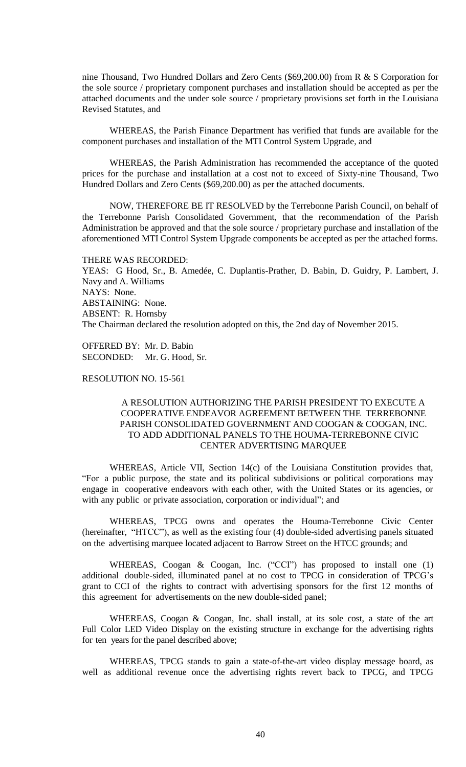nine Thousand, Two Hundred Dollars and Zero Cents (\$69,200.00) from R & S Corporation for the sole source / proprietary component purchases and installation should be accepted as per the attached documents and the under sole source / proprietary provisions set forth in the Louisiana Revised Statutes, and

WHEREAS, the Parish Finance Department has verified that funds are available for the component purchases and installation of the MTI Control System Upgrade, and

WHEREAS, the Parish Administration has recommended the acceptance of the quoted prices for the purchase and installation at a cost not to exceed of Sixty-nine Thousand, Two Hundred Dollars and Zero Cents (\$69,200.00) as per the attached documents.

NOW, THEREFORE BE IT RESOLVED by the Terrebonne Parish Council, on behalf of the Terrebonne Parish Consolidated Government, that the recommendation of the Parish Administration be approved and that the sole source / proprietary purchase and installation of the aforementioned MTI Control System Upgrade components be accepted as per the attached forms.

THERE WAS RECORDED: YEAS: G Hood, Sr., B. Amedée, C. Duplantis-Prather, D. Babin, D. Guidry, P. Lambert, J. Navy and A. Williams NAYS: None. ABSTAINING: None. ABSENT: R. Hornsby The Chairman declared the resolution adopted on this, the 2nd day of November 2015.

OFFERED BY: Mr. D. Babin SECONDED: Mr. G. Hood, Sr.

RESOLUTION NO. 15-561

# A RESOLUTION AUTHORIZING THE PARISH PRESIDENT TO EXECUTE A COOPERATIVE ENDEAVOR AGREEMENT BETWEEN THE TERREBONNE PARISH CONSOLIDATED GOVERNMENT AND COOGAN & COOGAN, INC. TO ADD ADDITIONAL PANELS TO THE HOUMA-TERREBONNE CIVIC CENTER ADVERTISING MARQUEE

WHEREAS, Article VII, Section 14(c) of the Louisiana Constitution provides that, "For a public purpose, the state and its political subdivisions or political corporations may engage in cooperative endeavors with each other, with the United States or its agencies, or with any public or private association, corporation or individual"; and

WHEREAS, TPCG owns and operates the Houma-Terrebonne Civic Center (hereinafter, "HTCC"), as well as the existing four (4) double-sided advertising panels situated on the advertising marquee located adjacent to Barrow Street on the HTCC grounds; and

WHEREAS, Coogan & Coogan, Inc. ("CCI") has proposed to install one (1) additional double-sided, illuminated panel at no cost to TPCG in consideration of TPCG's grant to CCI of the rights to contract with advertising sponsors for the first 12 months of this agreement for advertisements on the new double-sided panel;

WHEREAS, Coogan & Coogan, Inc. shall install, at its sole cost, a state of the art Full Color LED Video Display on the existing structure in exchange for the advertising rights for ten years for the panel described above;

WHEREAS, TPCG stands to gain a state-of-the-art video display message board, as well as additional revenue once the advertising rights revert back to TPCG, and TPCG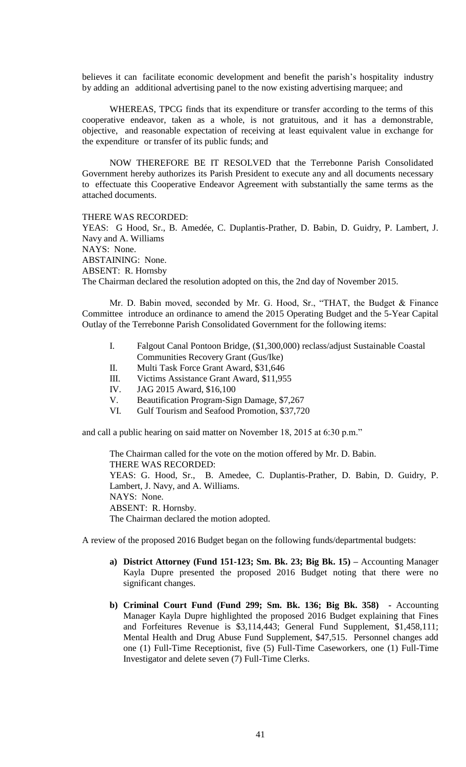believes it can facilitate economic development and benefit the parish's hospitality industry by adding an additional advertising panel to the now existing advertising marquee; and

WHEREAS, TPCG finds that its expenditure or transfer according to the terms of this cooperative endeavor, taken as a whole, is not gratuitous, and it has a demonstrable, objective, and reasonable expectation of receiving at least equivalent value in exchange for the expenditure or transfer of its public funds; and

NOW THEREFORE BE IT RESOLVED that the Terrebonne Parish Consolidated Government hereby authorizes its Parish President to execute any and all documents necessary to effectuate this Cooperative Endeavor Agreement with substantially the same terms as the attached documents.

THERE WAS RECORDED:

YEAS: G Hood, Sr., B. Amedée, C. Duplantis-Prather, D. Babin, D. Guidry, P. Lambert, J. Navy and A. Williams NAYS: None. ABSTAINING: None. ABSENT: R. Hornsby The Chairman declared the resolution adopted on this, the 2nd day of November 2015.

Mr. D. Babin moved, seconded by Mr. G. Hood, Sr., "THAT, the Budget & Finance Committee introduce an ordinance to amend the 2015 Operating Budget and the 5-Year Capital Outlay of the Terrebonne Parish Consolidated Government for the following items:

- I. Falgout Canal Pontoon Bridge, (\$1,300,000) reclass/adjust Sustainable Coastal Communities Recovery Grant (Gus/Ike)
- II. Multi Task Force Grant Award, \$31,646
- III. Victims Assistance Grant Award, \$11,955
- IV. JAG 2015 Award, \$16,100
- V. Beautification Program-Sign Damage, \$7,267
- VI. Gulf Tourism and Seafood Promotion, \$37,720

and call a public hearing on said matter on November 18, 2015 at 6:30 p.m."

The Chairman called for the vote on the motion offered by Mr. D. Babin. THERE WAS RECORDED: YEAS: G. Hood, Sr., B. Amedee, C. Duplantis-Prather, D. Babin, D. Guidry, P. Lambert, J. Navy, and A. Williams. NAYS: None. ABSENT: R. Hornsby. The Chairman declared the motion adopted.

A review of the proposed 2016 Budget began on the following funds/departmental budgets:

- **a) District Attorney (Fund 151-123; Sm. Bk. 23; Big Bk. 15) –** Accounting Manager Kayla Dupre presented the proposed 2016 Budget noting that there were no significant changes.
- **b) Criminal Court Fund (Fund 299; Sm. Bk. 136; Big Bk. 358) -** Accounting Manager Kayla Dupre highlighted the proposed 2016 Budget explaining that Fines and Forfeitures Revenue is \$3,114,443; General Fund Supplement, \$1,458,111; Mental Health and Drug Abuse Fund Supplement, \$47,515. Personnel changes add one (1) Full-Time Receptionist, five (5) Full-Time Caseworkers, one (1) Full-Time Investigator and delete seven (7) Full-Time Clerks.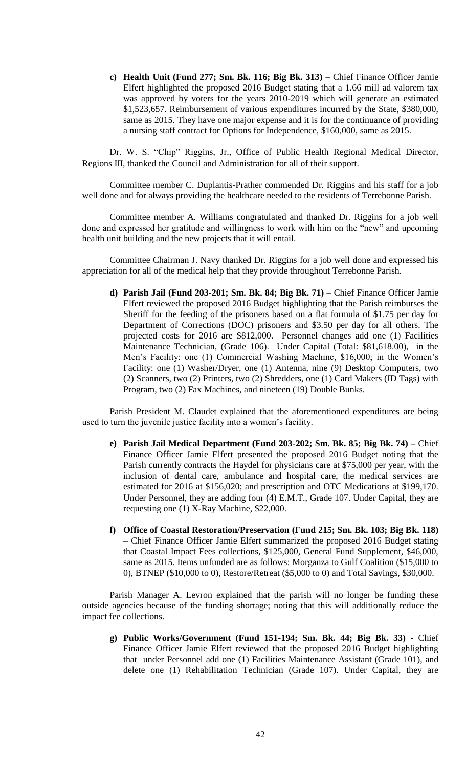**c) Health Unit (Fund 277; Sm. Bk. 116; Big Bk. 313) –** Chief Finance Officer Jamie Elfert highlighted the proposed 2016 Budget stating that a 1.66 mill ad valorem tax was approved by voters for the years 2010-2019 which will generate an estimated \$1,523,657. Reimbursement of various expenditures incurred by the State, \$380,000, same as 2015. They have one major expense and it is for the continuance of providing a nursing staff contract for Options for Independence, \$160,000, same as 2015.

Dr. W. S. "Chip" Riggins, Jr., Office of Public Health Regional Medical Director, Regions III, thanked the Council and Administration for all of their support.

Committee member C. Duplantis-Prather commended Dr. Riggins and his staff for a job well done and for always providing the healthcare needed to the residents of Terrebonne Parish.

Committee member A. Williams congratulated and thanked Dr. Riggins for a job well done and expressed her gratitude and willingness to work with him on the "new" and upcoming health unit building and the new projects that it will entail.

Committee Chairman J. Navy thanked Dr. Riggins for a job well done and expressed his appreciation for all of the medical help that they provide throughout Terrebonne Parish.

**d) Parish Jail (Fund 203-201; Sm. Bk. 84; Big Bk. 71) –** Chief Finance Officer Jamie Elfert reviewed the proposed 2016 Budget highlighting that the Parish reimburses the Sheriff for the feeding of the prisoners based on a flat formula of \$1.75 per day for Department of Corrections (DOC) prisoners and \$3.50 per day for all others. The projected costs for 2016 are \$812,000. Personnel changes add one (1) Facilities Maintenance Technician, (Grade 106). Under Capital (Total: \$81,618.00), in the Men's Facility: one (1) Commercial Washing Machine, \$16,000; in the Women's Facility: one (1) Washer/Dryer, one (1) Antenna, nine (9) Desktop Computers, two (2) Scanners, two (2) Printers, two (2) Shredders, one (1) Card Makers (ID Tags) with Program, two (2) Fax Machines, and nineteen (19) Double Bunks.

Parish President M. Claudet explained that the aforementioned expenditures are being used to turn the juvenile justice facility into a women's facility.

- **e) Parish Jail Medical Department (Fund 203-202; Sm. Bk. 85; Big Bk. 74) –** Chief Finance Officer Jamie Elfert presented the proposed 2016 Budget noting that the Parish currently contracts the Haydel for physicians care at \$75,000 per year, with the inclusion of dental care, ambulance and hospital care, the medical services are estimated for 2016 at \$156,020; and prescription and OTC Medications at \$199,170. Under Personnel, they are adding four (4) E.M.T., Grade 107. Under Capital, they are requesting one (1) X-Ray Machine, \$22,000.
- **f) Office of Coastal Restoration/Preservation (Fund 215; Sm. Bk. 103; Big Bk. 118) –** Chief Finance Officer Jamie Elfert summarized the proposed 2016 Budget stating that Coastal Impact Fees collections, \$125,000, General Fund Supplement, \$46,000, same as 2015. Items unfunded are as follows: Morganza to Gulf Coalition (\$15,000 to 0), BTNEP (\$10,000 to 0), Restore/Retreat (\$5,000 to 0) and Total Savings, \$30,000.

Parish Manager A. Levron explained that the parish will no longer be funding these outside agencies because of the funding shortage; noting that this will additionally reduce the impact fee collections.

**g) Public Works/Government (Fund 151-194; Sm. Bk. 44; Big Bk. 33) -** Chief Finance Officer Jamie Elfert reviewed that the proposed 2016 Budget highlighting that under Personnel add one (1) Facilities Maintenance Assistant (Grade 101), and delete one (1) Rehabilitation Technician (Grade 107). Under Capital, they are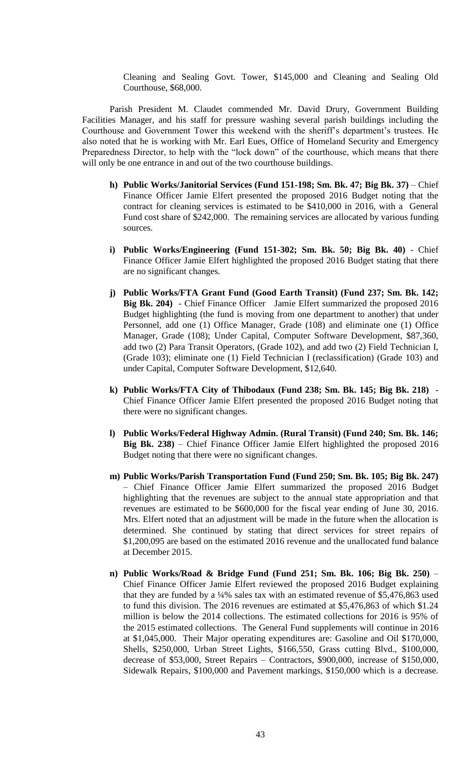Cleaning and Sealing Govt. Tower, \$145,000 and Cleaning and Sealing Old Courthouse, \$68,000.

Parish President M. Claudet commended Mr. David Drury, Government Building Facilities Manager, and his staff for pressure washing several parish buildings including the Courthouse and Government Tower this weekend with the sheriff's department's trustees. He also noted that he is working with Mr. Earl Eues, Office of Homeland Security and Emergency Preparedness Director, to help with the "lock down" of the courthouse, which means that there will only be one entrance in and out of the two courthouse buildings.

- **h) Public Works/Janitorial Services (Fund 151-198; Sm. Bk. 47; Big Bk. 37)** Chief Finance Officer Jamie Elfert presented the proposed 2016 Budget noting that the contract for cleaning services is estimated to be \$410,000 in 2016, with a General Fund cost share of \$242,000. The remaining services are allocated by various funding sources.
- **i) Public Works/Engineering (Fund 151-302; Sm. Bk. 50; Big Bk. 40)**  Chief Finance Officer Jamie Elfert highlighted the proposed 2016 Budget stating that there are no significant changes.
- **j) Public Works/FTA Grant Fund (Good Earth Transit) (Fund 237; Sm. Bk. 142; Big Bk. 204)** - Chief Finance Officer Jamie Elfert summarized the proposed 2016 Budget highlighting (the fund is moving from one department to another) that under Personnel, add one (1) Office Manager, Grade (108) and eliminate one (1) Office Manager, Grade (108); Under Capital, Computer Software Development, \$87,360, add two (2) Para Transit Operators, (Grade 102), and add two (2) Field Technician I, (Grade 103); eliminate one (1) Field Technician I (reclassification) (Grade 103) and under Capital, Computer Software Development, \$12,640.
- **k) Public Works/FTA City of Thibodaux (Fund 238; Sm. Bk. 145; Big Bk. 218)**  Chief Finance Officer Jamie Elfert presented the proposed 2016 Budget noting that there were no significant changes.
- **l) Public Works/Federal Highway Admin. (Rural Transit) (Fund 240; Sm. Bk. 146; Big Bk. 238)** – Chief Finance Officer Jamie Elfert highlighted the proposed 2016 Budget noting that there were no significant changes.
- **m) Public Works/Parish Transportation Fund (Fund 250; Sm. Bk. 105; Big Bk. 247)** – Chief Finance Officer Jamie Elfert summarized the proposed 2016 Budget highlighting that the revenues are subject to the annual state appropriation and that revenues are estimated to be \$600,000 for the fiscal year ending of June 30, 2016. Mrs. Elfert noted that an adjustment will be made in the future when the allocation is determined. She continued by stating that direct services for street repairs of \$1,200,095 are based on the estimated 2016 revenue and the unallocated fund balance at December 2015.
- **n) Public Works/Road & Bridge Fund (Fund 251; Sm. Bk. 106; Big Bk. 250)** Chief Finance Officer Jamie Elfert reviewed the proposed 2016 Budget explaining that they are funded by a ¼% sales tax with an estimated revenue of \$5,476,863 used to fund this division. The 2016 revenues are estimated at \$5,476,863 of which \$1.24 million is below the 2014 collections. The estimated collections for 2016 is 95% of the 2015 estimated collections. The General Fund supplements will continue in 2016 at \$1,045,000. Their Major operating expenditures are: Gasoline and Oil \$170,000, Shells, \$250,000, Urban Street Lights, \$166,550, Grass cutting Blvd., \$100,000, decrease of \$53,000, Street Repairs – Contractors, \$900,000, increase of \$150,000, Sidewalk Repairs, \$100,000 and Pavement markings, \$150,000 which is a decrease.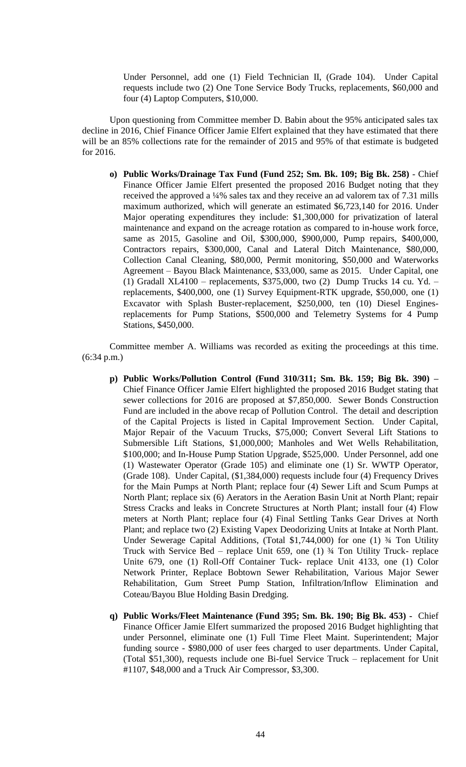Under Personnel, add one (1) Field Technician II, (Grade 104). Under Capital requests include two (2) One Tone Service Body Trucks, replacements, \$60,000 and four (4) Laptop Computers, \$10,000.

Upon questioning from Committee member D. Babin about the 95% anticipated sales tax decline in 2016, Chief Finance Officer Jamie Elfert explained that they have estimated that there will be an 85% collections rate for the remainder of 2015 and 95% of that estimate is budgeted for 2016.

**o) Public Works/Drainage Tax Fund (Fund 252; Sm. Bk. 109; Big Bk. 258)** - Chief Finance Officer Jamie Elfert presented the proposed 2016 Budget noting that they received the approved a ¼% sales tax and they receive an ad valorem tax of 7.31 mills maximum authorized, which will generate an estimated \$6,723,140 for 2016. Under Major operating expenditures they include: \$1,300,000 for privatization of lateral maintenance and expand on the acreage rotation as compared to in-house work force, same as 2015, Gasoline and Oil, \$300,000, \$900,000, Pump repairs, \$400,000, Contractors repairs, \$300,000, Canal and Lateral Ditch Maintenance, \$80,000, Collection Canal Cleaning, \$80,000, Permit monitoring, \$50,000 and Waterworks Agreement – Bayou Black Maintenance, \$33,000, same as 2015. Under Capital, one (1) Gradall XL4100 – replacements, \$375,000, two (2) Dump Trucks 14 cu. Yd. – replacements, \$400,000, one (1) Survey Equipment-RTK upgrade, \$50,000, one (1) Excavator with Splash Buster-replacement, \$250,000, ten (10) Diesel Enginesreplacements for Pump Stations, \$500,000 and Telemetry Systems for 4 Pump Stations, \$450,000.

Committee member A. Williams was recorded as exiting the proceedings at this time. (6:34 p.m.)

- **p) Public Works/Pollution Control (Fund 310/311; Sm. Bk. 159; Big Bk. 390) –** Chief Finance Officer Jamie Elfert highlighted the proposed 2016 Budget stating that sewer collections for 2016 are proposed at \$7,850,000. Sewer Bonds Construction Fund are included in the above recap of Pollution Control. The detail and description of the Capital Projects is listed in Capital Improvement Section. Under Capital, Major Repair of the Vacuum Trucks, \$75,000; Convert Several Lift Stations to Submersible Lift Stations, \$1,000,000; Manholes and Wet Wells Rehabilitation, \$100,000; and In-House Pump Station Upgrade, \$525,000. Under Personnel, add one (1) Wastewater Operator (Grade 105) and eliminate one (1) Sr. WWTP Operator, (Grade 108). Under Capital, (\$1,384,000) requests include four (4) Frequency Drives for the Main Pumps at North Plant; replace four (4) Sewer Lift and Scum Pumps at North Plant; replace six (6) Aerators in the Aeration Basin Unit at North Plant; repair Stress Cracks and leaks in Concrete Structures at North Plant; install four (4) Flow meters at North Plant; replace four (4) Final Settling Tanks Gear Drives at North Plant; and replace two (2) Existing Vapex Deodorizing Units at Intake at North Plant. Under Sewerage Capital Additions, (Total \$1,744,000) for one (1) ¾ Ton Utility Truck with Service Bed – replace Unit 659, one (1) ¾ Ton Utility Truck- replace Unite 679, one (1) Roll-Off Container Tuck- replace Unit 4133, one (1) Color Network Printer, Replace Bobtown Sewer Rehabilitation, Various Major Sewer Rehabilitation, Gum Street Pump Station, Infiltration/Inflow Elimination and Coteau/Bayou Blue Holding Basin Dredging.
- **q) Public Works/Fleet Maintenance (Fund 395; Sm. Bk. 190; Big Bk. 453) -** Chief Finance Officer Jamie Elfert summarized the proposed 2016 Budget highlighting that under Personnel, eliminate one (1) Full Time Fleet Maint. Superintendent; Major funding source - \$980,000 of user fees charged to user departments. Under Capital, (Total \$51,300), requests include one Bi-fuel Service Truck – replacement for Unit #1107, \$48,000 and a Truck Air Compressor, \$3,300.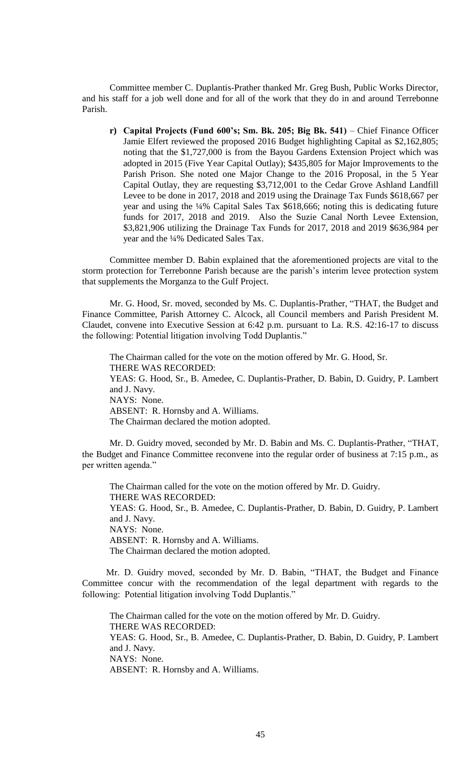Committee member C. Duplantis-Prather thanked Mr. Greg Bush, Public Works Director, and his staff for a job well done and for all of the work that they do in and around Terrebonne Parish.

**r) Capital Projects (Fund 600's; Sm. Bk. 205; Big Bk. 541)** – Chief Finance Officer Jamie Elfert reviewed the proposed 2016 Budget highlighting Capital as \$2,162,805; noting that the \$1,727,000 is from the Bayou Gardens Extension Project which was adopted in 2015 (Five Year Capital Outlay); \$435,805 for Major Improvements to the Parish Prison. She noted one Major Change to the 2016 Proposal, in the 5 Year Capital Outlay, they are requesting \$3,712,001 to the Cedar Grove Ashland Landfill Levee to be done in 2017, 2018 and 2019 using the Drainage Tax Funds \$618,667 per year and using the ¼% Capital Sales Tax \$618,666; noting this is dedicating future funds for 2017, 2018 and 2019. Also the Suzie Canal North Levee Extension, \$3,821,906 utilizing the Drainage Tax Funds for 2017, 2018 and 2019 \$636,984 per year and the ¼% Dedicated Sales Tax.

Committee member D. Babin explained that the aforementioned projects are vital to the storm protection for Terrebonne Parish because are the parish's interim levee protection system that supplements the Morganza to the Gulf Project.

Mr. G. Hood, Sr. moved, seconded by Ms. C. Duplantis-Prather, "THAT, the Budget and Finance Committee, Parish Attorney C. Alcock, all Council members and Parish President M. Claudet, convene into Executive Session at 6:42 p.m. pursuant to La. R.S. 42:16-17 to discuss the following: Potential litigation involving Todd Duplantis."

The Chairman called for the vote on the motion offered by Mr. G. Hood, Sr. THERE WAS RECORDED: YEAS: G. Hood, Sr., B. Amedee, C. Duplantis-Prather, D. Babin, D. Guidry, P. Lambert and J. Navy. NAYS: None. ABSENT: R. Hornsby and A. Williams. The Chairman declared the motion adopted.

Mr. D. Guidry moved, seconded by Mr. D. Babin and Ms. C. Duplantis-Prather, "THAT, the Budget and Finance Committee reconvene into the regular order of business at 7:15 p.m., as per written agenda."

The Chairman called for the vote on the motion offered by Mr. D. Guidry. THERE WAS RECORDED: YEAS: G. Hood, Sr., B. Amedee, C. Duplantis-Prather, D. Babin, D. Guidry, P. Lambert and J. Navy. NAYS: None. ABSENT: R. Hornsby and A. Williams. The Chairman declared the motion adopted.

Mr. D. Guidry moved, seconded by Mr. D. Babin, "THAT, the Budget and Finance Committee concur with the recommendation of the legal department with regards to the following: Potential litigation involving Todd Duplantis."

The Chairman called for the vote on the motion offered by Mr. D. Guidry. THERE WAS RECORDED: YEAS: G. Hood, Sr., B. Amedee, C. Duplantis-Prather, D. Babin, D. Guidry, P. Lambert and J. Navy. NAYS: None. ABSENT: R. Hornsby and A. Williams.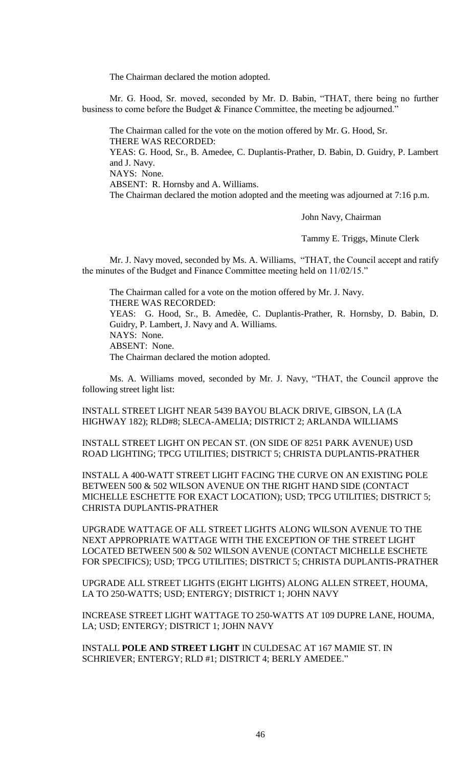The Chairman declared the motion adopted.

Mr. G. Hood, Sr. moved, seconded by Mr. D. Babin, "THAT, there being no further business to come before the Budget & Finance Committee, the meeting be adjourned."

The Chairman called for the vote on the motion offered by Mr. G. Hood, Sr. THERE WAS RECORDED: YEAS: G. Hood, Sr., B. Amedee, C. Duplantis-Prather, D. Babin, D. Guidry, P. Lambert and J. Navy. NAYS: None. ABSENT: R. Hornsby and A. Williams. The Chairman declared the motion adopted and the meeting was adjourned at 7:16 p.m.

John Navy, Chairman

Tammy E. Triggs, Minute Clerk

Mr. J. Navy moved, seconded by Ms. A. Williams, "THAT, the Council accept and ratify the minutes of the Budget and Finance Committee meeting held on 11/02/15."

The Chairman called for a vote on the motion offered by Mr. J. Navy. THERE WAS RECORDED: YEAS: G. Hood, Sr., B. Amedèe, C. Duplantis-Prather, R. Hornsby, D. Babin, D. Guidry, P. Lambert, J. Navy and A. Williams. NAYS: None. ABSENT: None. The Chairman declared the motion adopted.

Ms. A. Williams moved, seconded by Mr. J. Navy, "THAT, the Council approve the following street light list:

INSTALL STREET LIGHT NEAR 5439 BAYOU BLACK DRIVE, GIBSON, LA (LA HIGHWAY 182); RLD#8; SLECA-AMELIA; DISTRICT 2; ARLANDA WILLIAMS

INSTALL STREET LIGHT ON PECAN ST. (ON SIDE OF 8251 PARK AVENUE) USD ROAD LIGHTING; TPCG UTILITIES; DISTRICT 5; CHRISTA DUPLANTIS-PRATHER

INSTALL A 400-WATT STREET LIGHT FACING THE CURVE ON AN EXISTING POLE BETWEEN 500 & 502 WILSON AVENUE ON THE RIGHT HAND SIDE (CONTACT MICHELLE ESCHETTE FOR EXACT LOCATION); USD; TPCG UTILITIES; DISTRICT 5; CHRISTA DUPLANTIS-PRATHER

UPGRADE WATTAGE OF ALL STREET LIGHTS ALONG WILSON AVENUE TO THE NEXT APPROPRIATE WATTAGE WITH THE EXCEPTION OF THE STREET LIGHT LOCATED BETWEEN 500 & 502 WILSON AVENUE (CONTACT MICHELLE ESCHETE FOR SPECIFICS); USD; TPCG UTILITIES; DISTRICT 5; CHRISTA DUPLANTIS-PRATHER

UPGRADE ALL STREET LIGHTS (EIGHT LIGHTS) ALONG ALLEN STREET, HOUMA, LA TO 250-WATTS; USD; ENTERGY; DISTRICT 1; JOHN NAVY

INCREASE STREET LIGHT WATTAGE TO 250-WATTS AT 109 DUPRE LANE, HOUMA, LA; USD; ENTERGY; DISTRICT 1; JOHN NAVY

INSTALL **POLE AND STREET LIGHT** IN CULDESAC AT 167 MAMIE ST. IN SCHRIEVER; ENTERGY; RLD #1; DISTRICT 4; BERLY AMEDEE."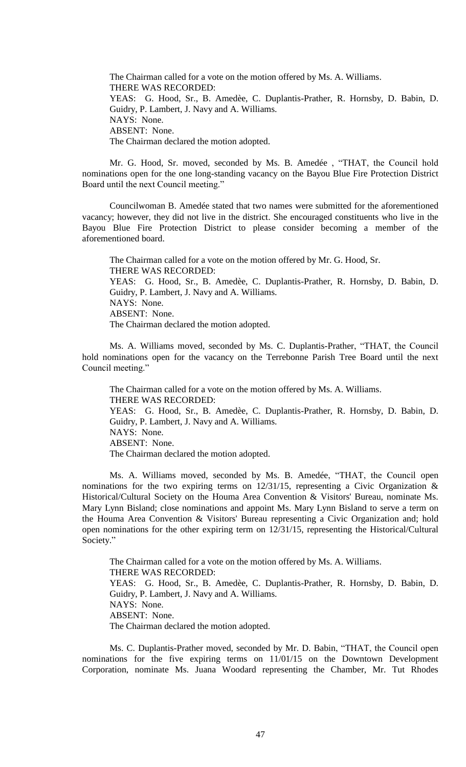The Chairman called for a vote on the motion offered by Ms. A. Williams. THERE WAS RECORDED: YEAS: G. Hood, Sr., B. Amedèe, C. Duplantis-Prather, R. Hornsby, D. Babin, D. Guidry, P. Lambert, J. Navy and A. Williams. NAYS: None. ABSENT: None. The Chairman declared the motion adopted.

Mr. G. Hood, Sr. moved, seconded by Ms. B. Amedée , "THAT, the Council hold nominations open for the one long-standing vacancy on the Bayou Blue Fire Protection District Board until the next Council meeting."

Councilwoman B. Amedée stated that two names were submitted for the aforementioned vacancy; however, they did not live in the district. She encouraged constituents who live in the Bayou Blue Fire Protection District to please consider becoming a member of the aforementioned board.

The Chairman called for a vote on the motion offered by Mr. G. Hood, Sr. THERE WAS RECORDED: YEAS: G. Hood, Sr., B. Amedèe, C. Duplantis-Prather, R. Hornsby, D. Babin, D. Guidry, P. Lambert, J. Navy and A. Williams. NAYS: None. ABSENT: None. The Chairman declared the motion adopted.

Ms. A. Williams moved, seconded by Ms. C. Duplantis-Prather, "THAT, the Council hold nominations open for the vacancy on the Terrebonne Parish Tree Board until the next Council meeting."

The Chairman called for a vote on the motion offered by Ms. A. Williams. THERE WAS RECORDED: YEAS: G. Hood, Sr., B. Amedèe, C. Duplantis-Prather, R. Hornsby, D. Babin, D. Guidry, P. Lambert, J. Navy and A. Williams. NAYS: None. ABSENT: None. The Chairman declared the motion adopted.

Ms. A. Williams moved, seconded by Ms. B. Amedée, "THAT, the Council open nominations for the two expiring terms on  $12/31/15$ , representing a Civic Organization & Historical/Cultural Society on the Houma Area Convention & Visitors' Bureau, nominate Ms. Mary Lynn Bisland; close nominations and appoint Ms. Mary Lynn Bisland to serve a term on the Houma Area Convention & Visitors' Bureau representing a Civic Organization and; hold open nominations for the other expiring term on 12/31/15, representing the Historical/Cultural Society."

The Chairman called for a vote on the motion offered by Ms. A. Williams. THERE WAS RECORDED: YEAS: G. Hood, Sr., B. Amedèe, C. Duplantis-Prather, R. Hornsby, D. Babin, D. Guidry, P. Lambert, J. Navy and A. Williams. NAYS: None. ABSENT: None. The Chairman declared the motion adopted.

Ms. C. Duplantis-Prather moved, seconded by Mr. D. Babin, "THAT, the Council open nominations for the five expiring terms on 11/01/15 on the Downtown Development Corporation, nominate Ms. Juana Woodard representing the Chamber, Mr. Tut Rhodes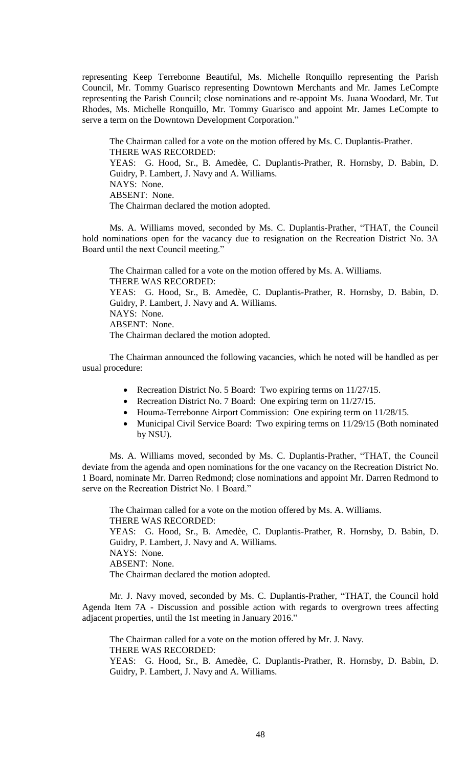representing Keep Terrebonne Beautiful, Ms. Michelle Ronquillo representing the Parish Council, Mr. Tommy Guarisco representing Downtown Merchants and Mr. James LeCompte representing the Parish Council; close nominations and re-appoint Ms. Juana Woodard, Mr. Tut Rhodes, Ms. Michelle Ronquillo, Mr. Tommy Guarisco and appoint Mr. James LeCompte to serve a term on the Downtown Development Corporation."

The Chairman called for a vote on the motion offered by Ms. C. Duplantis-Prather. THERE WAS RECORDED: YEAS: G. Hood, Sr., B. Amedèe, C. Duplantis-Prather, R. Hornsby, D. Babin, D. Guidry, P. Lambert, J. Navy and A. Williams. NAYS: None. ABSENT: None. The Chairman declared the motion adopted.

Ms. A. Williams moved, seconded by Ms. C. Duplantis-Prather, "THAT, the Council hold nominations open for the vacancy due to resignation on the Recreation District No. 3A Board until the next Council meeting."

The Chairman called for a vote on the motion offered by Ms. A. Williams. THERE WAS RECORDED: YEAS: G. Hood, Sr., B. Amedèe, C. Duplantis-Prather, R. Hornsby, D. Babin, D. Guidry, P. Lambert, J. Navy and A. Williams. NAYS: None. ABSENT: None. The Chairman declared the motion adopted.

The Chairman announced the following vacancies, which he noted will be handled as per usual procedure:

- Recreation District No. 5 Board: Two expiring terms on 11/27/15.
- Recreation District No. 7 Board: One expiring term on 11/27/15.
- Houma-Terrebonne Airport Commission: One expiring term on 11/28/15.
- Municipal Civil Service Board: Two expiring terms on 11/29/15 (Both nominated by NSU).

Ms. A. Williams moved, seconded by Ms. C. Duplantis-Prather, "THAT, the Council deviate from the agenda and open nominations for the one vacancy on the Recreation District No. 1 Board, nominate Mr. Darren Redmond; close nominations and appoint Mr. Darren Redmond to serve on the Recreation District No. 1 Board."

The Chairman called for a vote on the motion offered by Ms. A. Williams. THERE WAS RECORDED: YEAS: G. Hood, Sr., B. Amedèe, C. Duplantis-Prather, R. Hornsby, D. Babin, D. Guidry, P. Lambert, J. Navy and A. Williams. NAYS: None. ABSENT: None. The Chairman declared the motion adopted.

Mr. J. Navy moved, seconded by Ms. C. Duplantis-Prather, "THAT, the Council hold Agenda Item 7A - Discussion and possible action with regards to overgrown trees affecting adjacent properties, until the 1st meeting in January 2016."

The Chairman called for a vote on the motion offered by Mr. J. Navy. THERE WAS RECORDED: YEAS: G. Hood, Sr., B. Amedèe, C. Duplantis-Prather, R. Hornsby, D. Babin, D. Guidry, P. Lambert, J. Navy and A. Williams.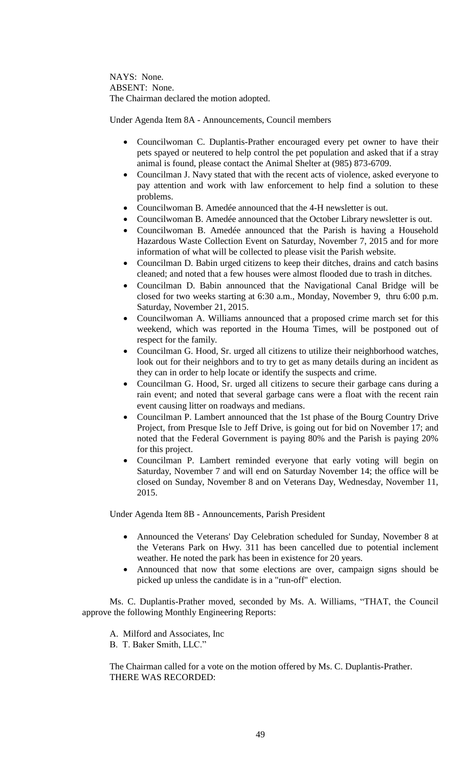NAYS: None. ABSENT: None. The Chairman declared the motion adopted.

Under Agenda Item 8A - Announcements, Council members

- Councilwoman C. Duplantis-Prather encouraged every pet owner to have their pets spayed or neutered to help control the pet population and asked that if a stray animal is found, please contact the Animal Shelter at (985) 873-6709.
- Councilman J. Navy stated that with the recent acts of violence, asked everyone to pay attention and work with law enforcement to help find a solution to these problems.
- Councilwoman B. Amedée announced that the 4-H newsletter is out.
- Councilwoman B. Amedée announced that the October Library newsletter is out.
- Councilwoman B. Amedée announced that the Parish is having a Household Hazardous Waste Collection Event on Saturday, November 7, 2015 and for more information of what will be collected to please visit the Parish website.
- Councilman D. Babin urged citizens to keep their ditches, drains and catch basins cleaned; and noted that a few houses were almost flooded due to trash in ditches.
- Councilman D. Babin announced that the Navigational Canal Bridge will be closed for two weeks starting at 6:30 a.m., Monday, November 9, thru 6:00 p.m. Saturday, November 21, 2015.
- Councilwoman A. Williams announced that a proposed crime march set for this weekend, which was reported in the Houma Times, will be postponed out of respect for the family.
- Councilman G. Hood, Sr. urged all citizens to utilize their neighborhood watches, look out for their neighbors and to try to get as many details during an incident as they can in order to help locate or identify the suspects and crime.
- Councilman G. Hood, Sr. urged all citizens to secure their garbage cans during a rain event; and noted that several garbage cans were a float with the recent rain event causing litter on roadways and medians.
- Councilman P. Lambert announced that the 1st phase of the Bourg Country Drive Project, from Presque Isle to Jeff Drive, is going out for bid on November 17; and noted that the Federal Government is paying 80% and the Parish is paying 20% for this project.
- Councilman P. Lambert reminded everyone that early voting will begin on Saturday, November 7 and will end on Saturday November 14; the office will be closed on Sunday, November 8 and on Veterans Day, Wednesday, November 11, 2015.

Under Agenda Item 8B - Announcements, Parish President

- Announced the Veterans' Day Celebration scheduled for Sunday, November 8 at the Veterans Park on Hwy. 311 has been cancelled due to potential inclement weather. He noted the park has been in existence for 20 years.
- Announced that now that some elections are over, campaign signs should be picked up unless the candidate is in a "run-off" election.

Ms. C. Duplantis-Prather moved, seconded by Ms. A. Williams, "THAT, the Council approve the following Monthly Engineering Reports:

A. Milford and Associates, Inc B. T. Baker Smith, LLC."

The Chairman called for a vote on the motion offered by Ms. C. Duplantis-Prather. THERE WAS RECORDED: